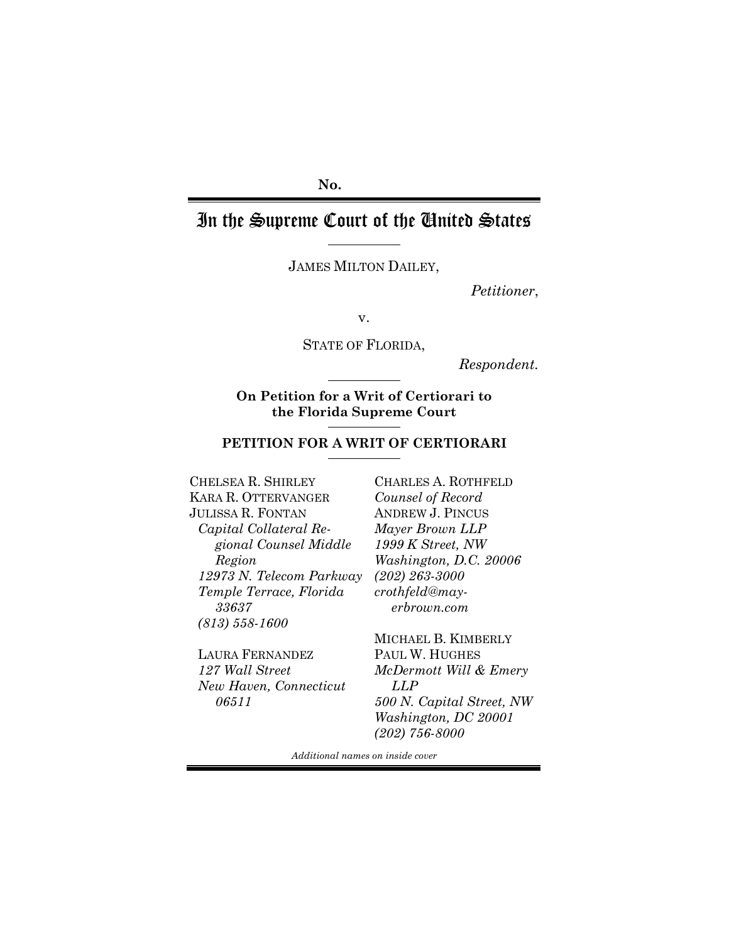## **No.**

# In the Supreme Court of the United States

JAMES MILTON DAILEY,

*Petitioner*,

v.

STATE OF FLORIDA,

*Respondent.*

## **On Petition for a Writ of Certiorari to the Florida Supreme Court**

## **PETITION FOR A WRIT OF CERTIORARI**

CHELSEA R. SHIRLEY KARA R. OTTERVANGER JULISSA R. FONTAN *Capital Collateral Regional Counsel Middle Region 12973 N. Telecom Parkway Temple Terrace, Florida 33637 (813) 558-1600* 

LAURA FERNANDEZ *127 Wall Street New Haven, Connecticut 06511*

CHARLES A. ROTHFELD *Counsel of Record*  ANDREW J. PINCUS *Mayer Brown LLP 1999 K Street, NW Washington, D.C. 20006 (202) 263-3000 crothfeld@mayerbrown.com* 

MICHAEL B. KIMBERLY PAUL W. HUGHES *McDermott Will & Emery LLP 500 N. Capital Street, NW Washington, DC 20001 (202) 756-8000* 

*Additional names on inside cover*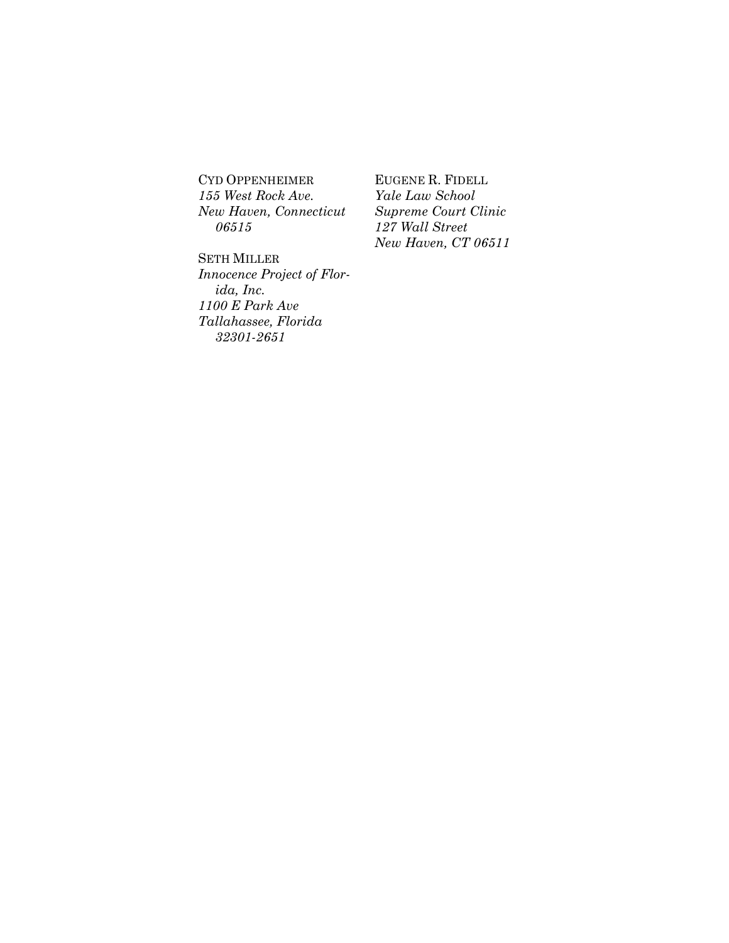CYD OPPENHEIMER *155 West Rock Ave. New Haven, Connecticut 06515*

SETH MILLER *Innocence Project of Florida, Inc. 1100 E Park Ave Tallahassee, Florida 32301-2651*

EUGENE R. FIDELL *Yale Law School Supreme Court Clinic 127 Wall Street New Haven, CT 06511*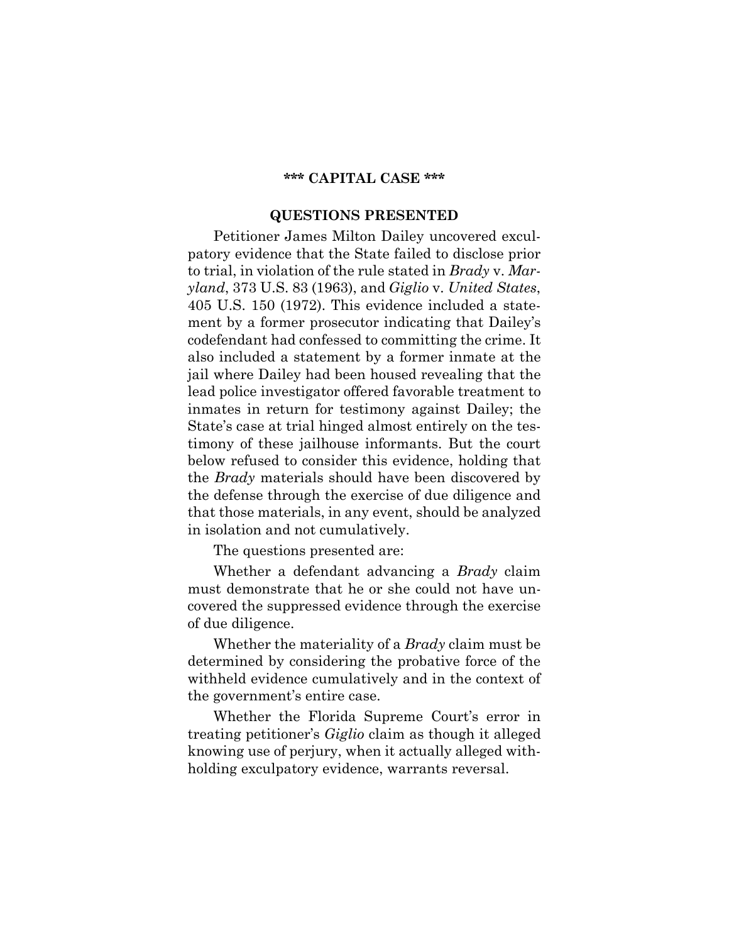### **\*\*\* CAPITAL CASE \*\*\***

## **QUESTIONS PRESENTED**

Petitioner James Milton Dailey uncovered exculpatory evidence that the State failed to disclose prior to trial, in violation of the rule stated in *Brady* v. *Maryland*, 373 U.S. 83 (1963), and *Giglio* v. *United States*, 405 U.S. 150 (1972). This evidence included a statement by a former prosecutor indicating that Dailey's codefendant had confessed to committing the crime. It also included a statement by a former inmate at the jail where Dailey had been housed revealing that the lead police investigator offered favorable treatment to inmates in return for testimony against Dailey; the State's case at trial hinged almost entirely on the testimony of these jailhouse informants. But the court below refused to consider this evidence, holding that the *Brady* materials should have been discovered by the defense through the exercise of due diligence and that those materials, in any event, should be analyzed in isolation and not cumulatively.

The questions presented are:

Whether a defendant advancing a *Brady* claim must demonstrate that he or she could not have uncovered the suppressed evidence through the exercise of due diligence.

Whether the materiality of a *Brady* claim must be determined by considering the probative force of the withheld evidence cumulatively and in the context of the government's entire case.

Whether the Florida Supreme Court's error in treating petitioner's *Giglio* claim as though it alleged knowing use of perjury, when it actually alleged withholding exculpatory evidence, warrants reversal.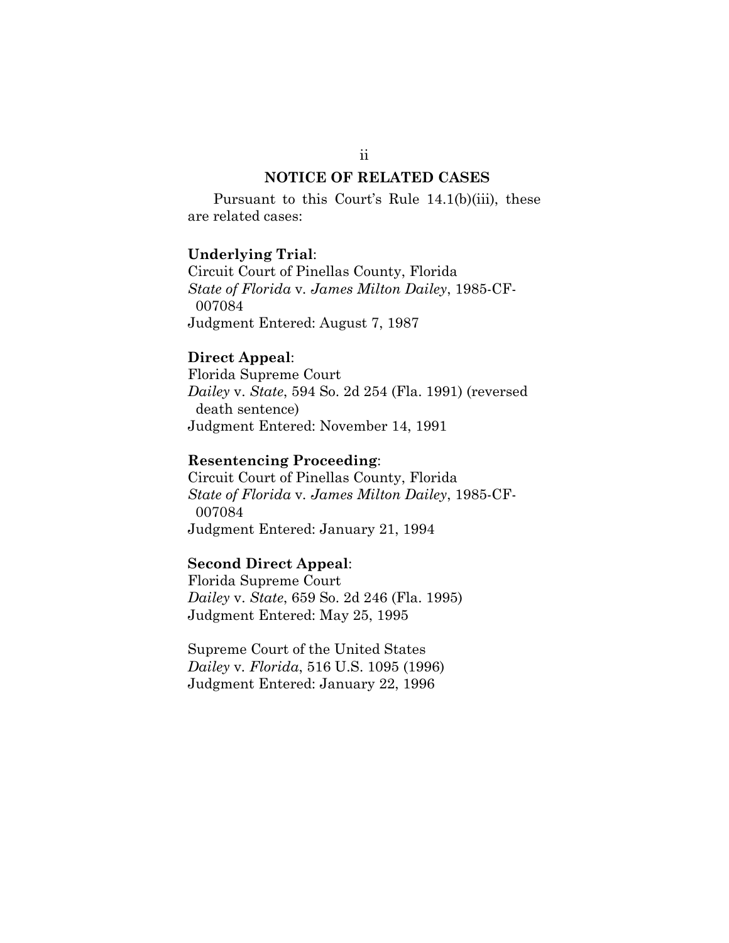## **NOTICE OF RELATED CASES**

Pursuant to this Court's Rule 14.1(b)(iii), these are related cases:

### **Underlying Trial**:

Circuit Court of Pinellas County, Florida *State of Florida* v*. James Milton Dailey*, 1985-CF- 007084 Judgment Entered: August 7, 1987

## **Direct Appeal**:

Florida Supreme Court *Dailey* v. *State*, 594 So. 2d 254 (Fla. 1991) (reversed death sentence) Judgment Entered: November 14, 1991

## **Resentencing Proceeding**:

Circuit Court of Pinellas County, Florida *State of Florida* v*. James Milton Dailey*, 1985-CF- 007084 Judgment Entered: January 21, 1994

### **Second Direct Appeal**:

Florida Supreme Court *Dailey* v. *State*, 659 So. 2d 246 (Fla. 1995) Judgment Entered: May 25, 1995

Supreme Court of the United States *Dailey* v*. Florida*, 516 U.S. 1095 (1996) Judgment Entered: January 22, 1996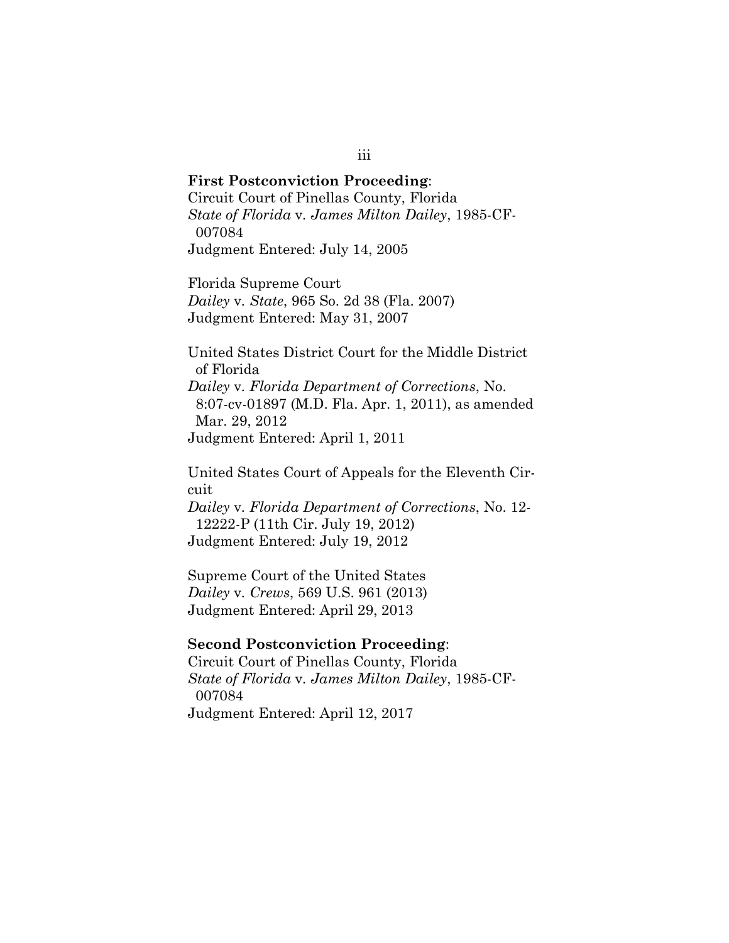**First Postconviction Proceeding**: Circuit Court of Pinellas County, Florida *State of Florida* v*. James Milton Dailey*, 1985-CF- 007084 Judgment Entered: July 14, 2005

Florida Supreme Court *Dailey* v*. State*, 965 So. 2d 38 (Fla. 2007) Judgment Entered: May 31, 2007

United States District Court for the Middle District of Florida *Dailey* v*. Florida Department of Corrections*, No. 8:07-cv-01897 (M.D. Fla. Apr. 1, 2011), as amended Mar. 29, 2012 Judgment Entered: April 1, 2011

United States Court of Appeals for the Eleventh Circuit

*Dailey* v*. Florida Department of Corrections*, No. 12- 12222-P (11th Cir. July 19, 2012) Judgment Entered: July 19, 2012

Supreme Court of the United States *Dailey* v*. Crews*, 569 U.S. 961 (2013) Judgment Entered: April 29, 2013

#### **Second Postconviction Proceeding**:

Circuit Court of Pinellas County, Florida *State of Florida* v*. James Milton Dailey*, 1985-CF- 007084 Judgment Entered: April 12, 2017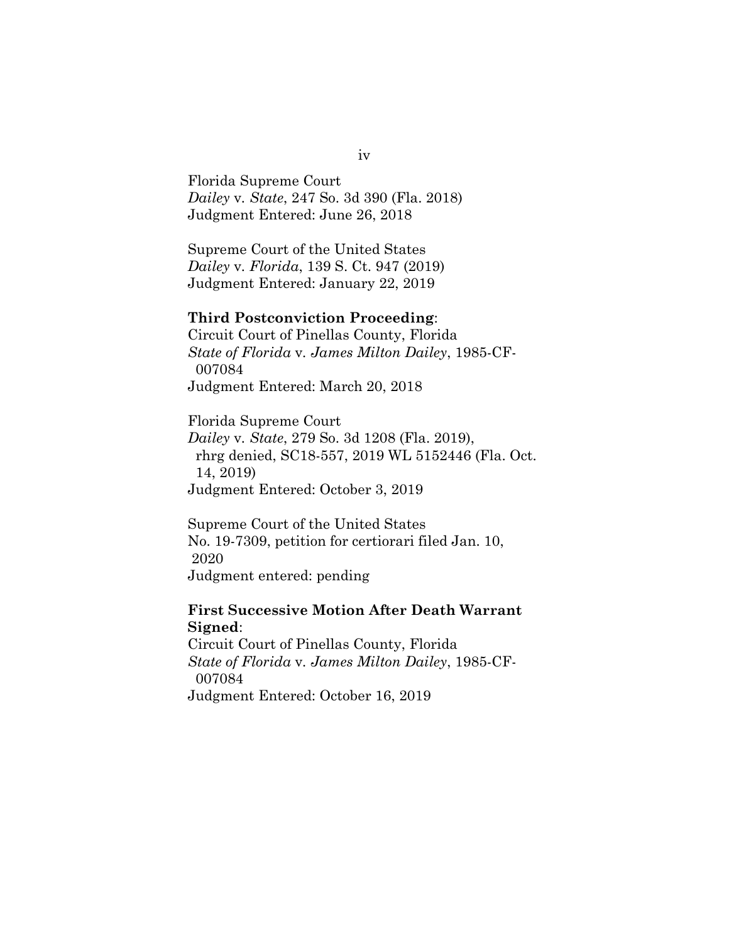Florida Supreme Court *Dailey* v*. State*, 247 So. 3d 390 (Fla. 2018) Judgment Entered: June 26, 2018

Supreme Court of the United States *Dailey* v*. Florida*, 139 S. Ct. 947 (2019) Judgment Entered: January 22, 2019

### **Third Postconviction Proceeding**:

Circuit Court of Pinellas County, Florida *State of Florida* v*. James Milton Dailey*, 1985-CF- 007084 Judgment Entered: March 20, 2018

Florida Supreme Court *Dailey* v*. State*, 279 So. 3d 1208 (Fla. 2019), rhrg denied, SC18-557, 2019 WL 5152446 (Fla. Oct. 14, 2019) Judgment Entered: October 3, 2019

Supreme Court of the United States No. 19-7309, petition for certiorari filed Jan. 10, 2020 Judgment entered: pending

## **First Successive Motion After Death Warrant Signed**:

Circuit Court of Pinellas County, Florida *State of Florida* v*. James Milton Dailey*, 1985-CF- 007084 Judgment Entered: October 16, 2019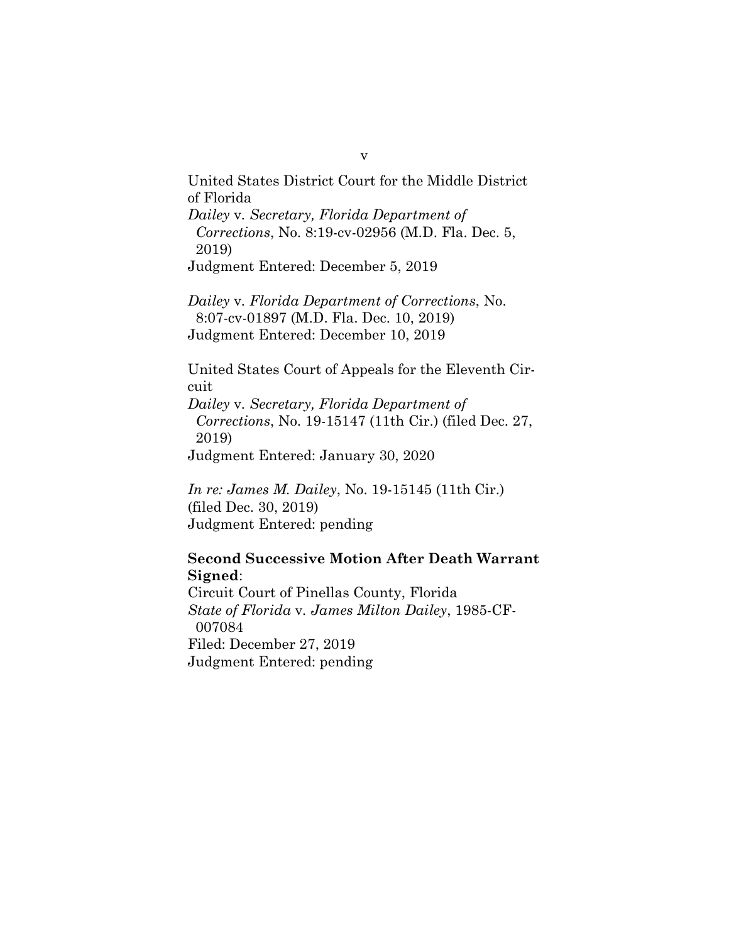United States District Court for the Middle District of Florida *Dailey* v*. Secretary, Florida Department of Corrections*, No. 8:19-cv-02956 (M.D. Fla. Dec. 5, 2019) Judgment Entered: December 5, 2019

*Dailey* v*. Florida Department of Corrections*, No. 8:07-cv-01897 (M.D. Fla. Dec. 10, 2019) Judgment Entered: December 10, 2019

United States Court of Appeals for the Eleventh Circuit *Dailey* v*. Secretary, Florida Department of Corrections*, No. 19-15147 (11th Cir.) (filed Dec. 27, 2019)

Judgment Entered: January 30, 2020

*In re: James M. Dailey*, No. 19-15145 (11th Cir.) (filed Dec. 30, 2019) Judgment Entered: pending

## **Second Successive Motion After Death Warrant Signed**:

Circuit Court of Pinellas County, Florida *State of Florida* v*. James Milton Dailey*, 1985-CF- 007084 Filed: December 27, 2019 Judgment Entered: pending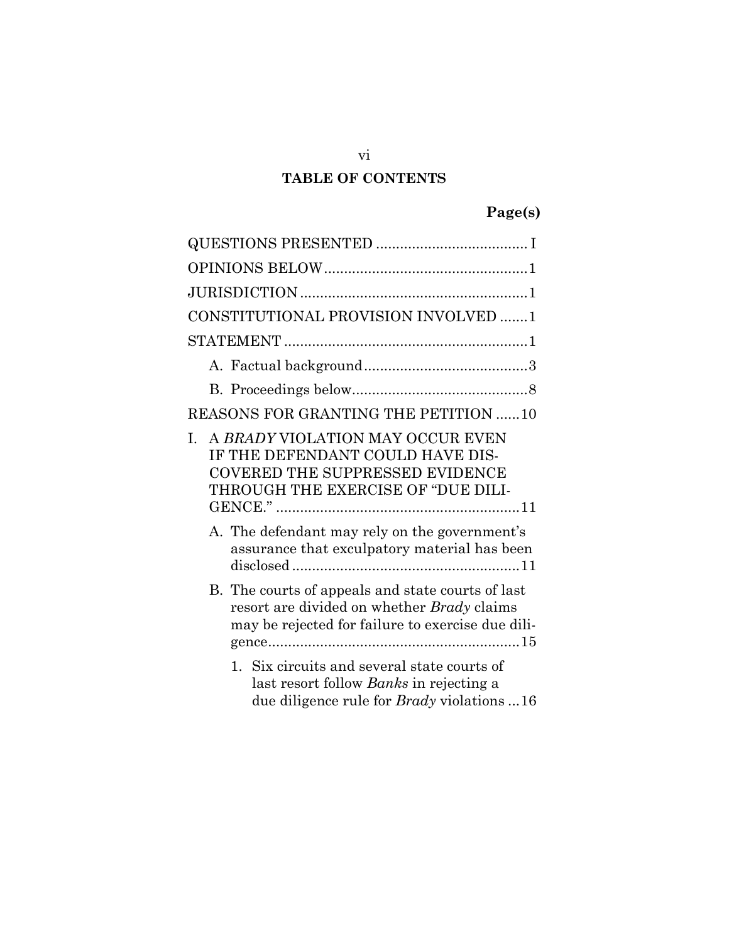## **TABLE OF CONTENTS**

| CONSTITUTIONAL PROVISION INVOLVED 1                                                                                                                        |  |  |  |  |
|------------------------------------------------------------------------------------------------------------------------------------------------------------|--|--|--|--|
|                                                                                                                                                            |  |  |  |  |
|                                                                                                                                                            |  |  |  |  |
|                                                                                                                                                            |  |  |  |  |
| REASONS FOR GRANTING THE PETITION 10                                                                                                                       |  |  |  |  |
| A BRADY VIOLATION MAY OCCUR EVEN<br>I.<br>IF THE DEFENDANT COULD HAVE DIS-<br><b>COVERED THE SUPPRESSED EVIDENCE</b><br>THROUGH THE EXERCISE OF "DUE DILI- |  |  |  |  |
| A. The defendant may rely on the government's<br>assurance that exculpatory material has been                                                              |  |  |  |  |
| B. The courts of appeals and state courts of last<br>resort are divided on whether Brady claims<br>may be rejected for failure to exercise due dili-       |  |  |  |  |
| 1. Six circuits and several state courts of<br>last resort follow Banks in rejecting a<br>due diligence rule for <i>Brady</i> violations 16                |  |  |  |  |

vi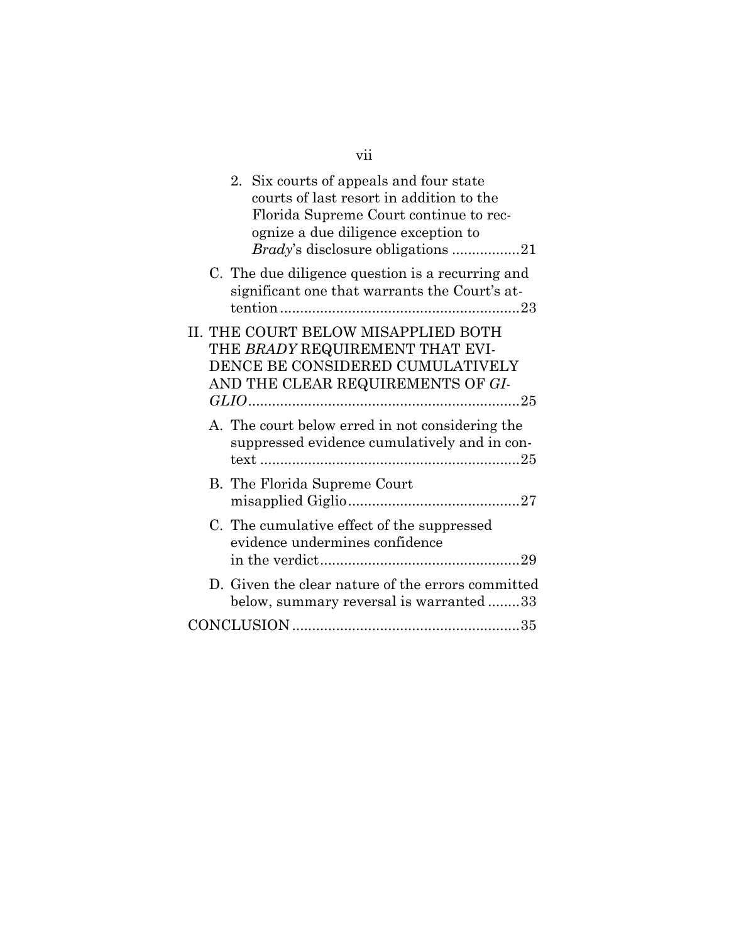|  | 2. Six courts of appeals and four state<br>courts of last resort in addition to the<br>Florida Supreme Court continue to rec-<br>ognize a due diligence exception to<br><i>Brady's</i> disclosure obligations 21 |  |
|--|------------------------------------------------------------------------------------------------------------------------------------------------------------------------------------------------------------------|--|
|  | C. The due diligence question is a recurring and<br>significant one that warrants the Court's at-                                                                                                                |  |
|  | II. THE COURT BELOW MISAPPLIED BOTH<br>THE BRADY REQUIREMENT THAT EVI-<br>DENCE BE CONSIDERED CUMULATIVELY<br>AND THE CLEAR REQUIREMENTS OF GI-                                                                  |  |
|  | A. The court below erred in not considering the<br>suppressed evidence cumulatively and in con-                                                                                                                  |  |
|  | B. The Florida Supreme Court                                                                                                                                                                                     |  |
|  | C. The cumulative effect of the suppressed<br>evidence undermines confidence                                                                                                                                     |  |
|  | D. Given the clear nature of the errors committed<br>below, summary reversal is warranted33                                                                                                                      |  |
|  |                                                                                                                                                                                                                  |  |

vii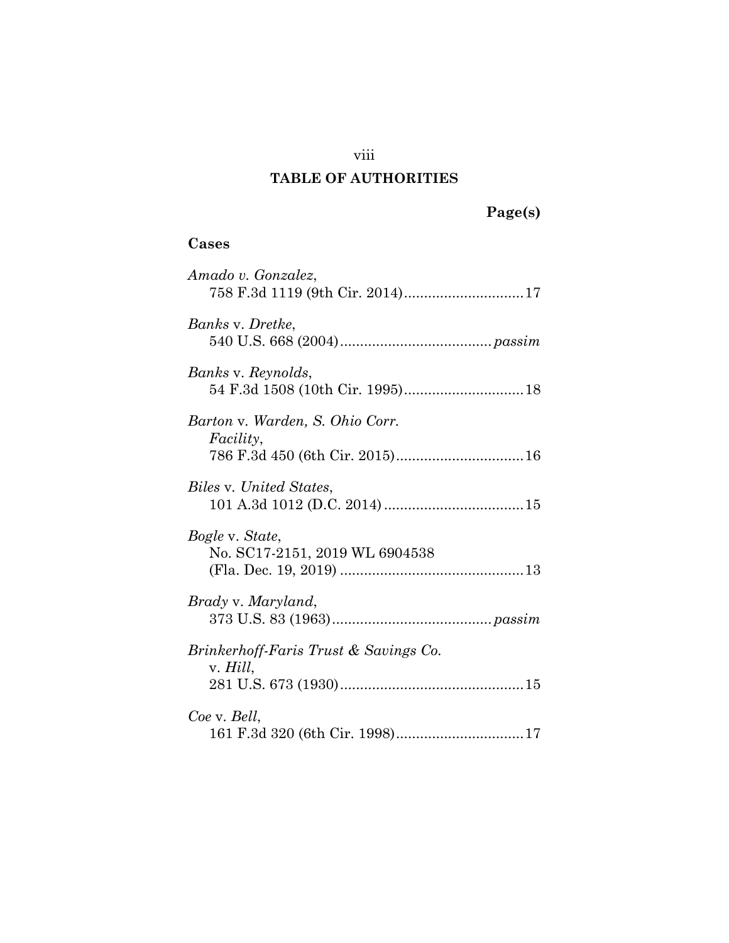## viii

## **TABLE OF AUTHORITIES**

| { | 19. J | s | I |
|---|-------|---|---|
|   |       |   |   |

## **Cases**

| Amado v. Gonzalez,                                  |
|-----------------------------------------------------|
| Banks v. Dretke,                                    |
| Banks v. Reynolds,                                  |
| Barton v. Warden, S. Ohio Corr.<br><i>Facility,</i> |
| Biles v. United States,                             |
| Bogle v. State,<br>No. SC17-2151, 2019 WL 6904538   |
| Brady v. Maryland,                                  |
| Brinkerhoff-Faris Trust & Savings Co.<br>v. Hill,   |
| Coe v. Bell,                                        |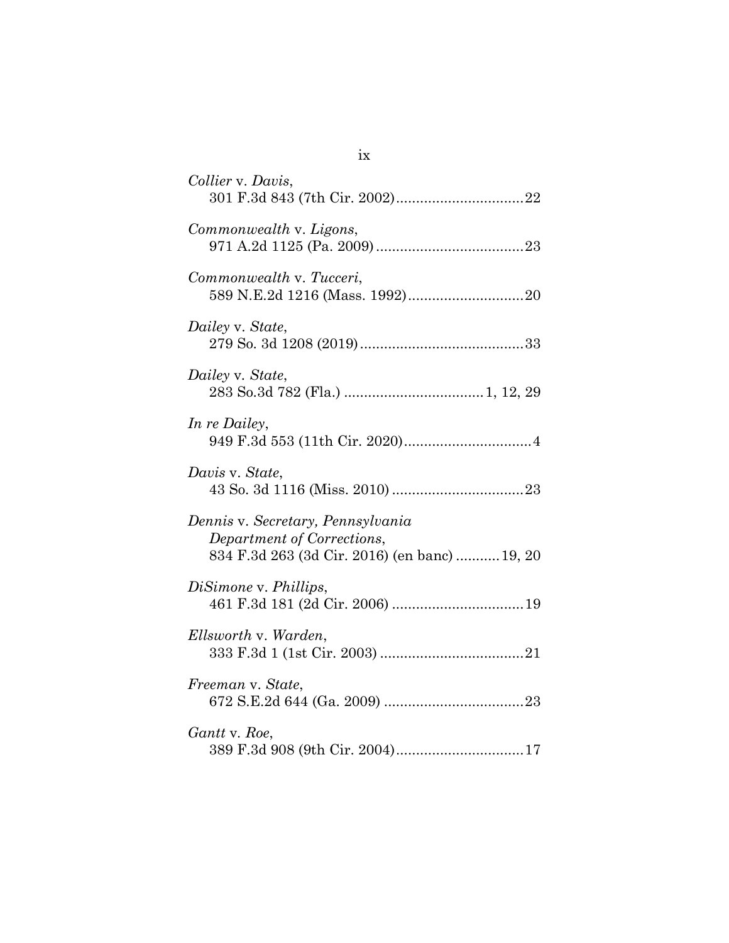| Collier v. Davis,                                                                                                |
|------------------------------------------------------------------------------------------------------------------|
| Commonwealth v. Ligons,                                                                                          |
| Commonwealth v. Tucceri,                                                                                         |
| Dailey v. State,                                                                                                 |
| Dailey v. State,                                                                                                 |
| In re Dailey,                                                                                                    |
| Davis v. State,                                                                                                  |
| Dennis v. Secretary, Pennsylvania<br>Department of Corrections,<br>834 F.3d 263 (3d Cir. 2016) (en banc)  19, 20 |
| DiSimone v. Phillips,                                                                                            |
| Ellsworth v. Warden,                                                                                             |
| Freeman v. State,                                                                                                |
| Gantt v. Roe,                                                                                                    |

ix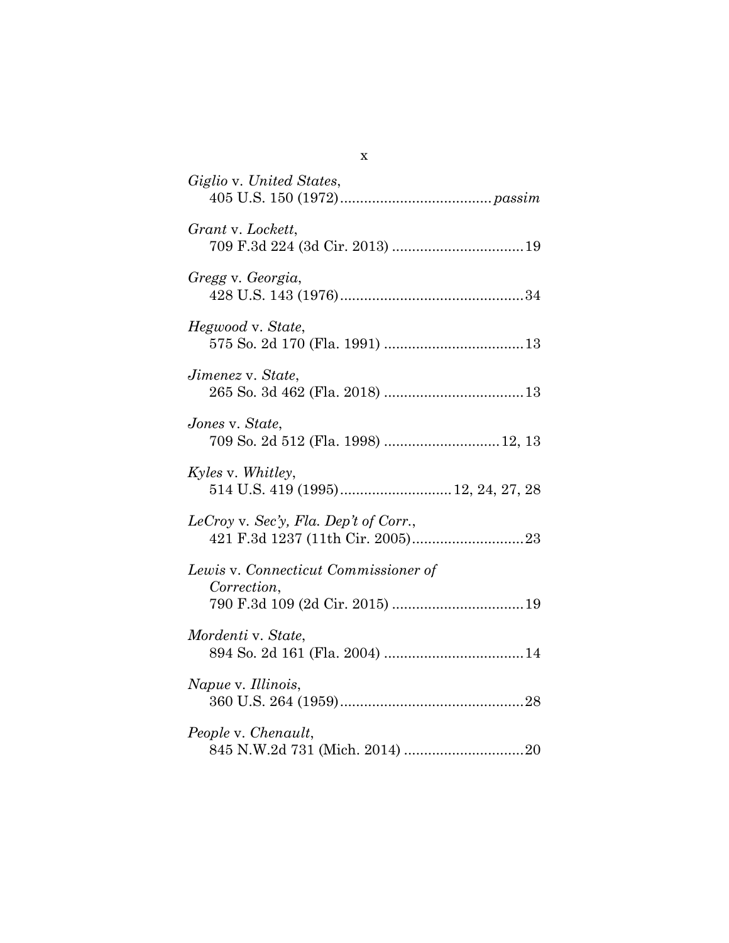| Giglio v. United States,                                |
|---------------------------------------------------------|
| Grant v. Lockett,                                       |
| Gregg v. Georgia,                                       |
| Hegwood v. State,                                       |
| Jimenez v. State,                                       |
| Jones v. State,<br>709 So. 2d 512 (Fla. 1998)  12, 13   |
| Kyles v. Whitley,<br>514 U.S. 419 (1995) 12, 24, 27, 28 |
| LeCroy v. Sec'y, Fla. Dep't of Corr.,                   |
| Lewis v. Connecticut Commissioner of<br>Correction,     |
| Mordenti v. State,                                      |
| Napue v. Illinois,                                      |
| People v. Chenault,                                     |

x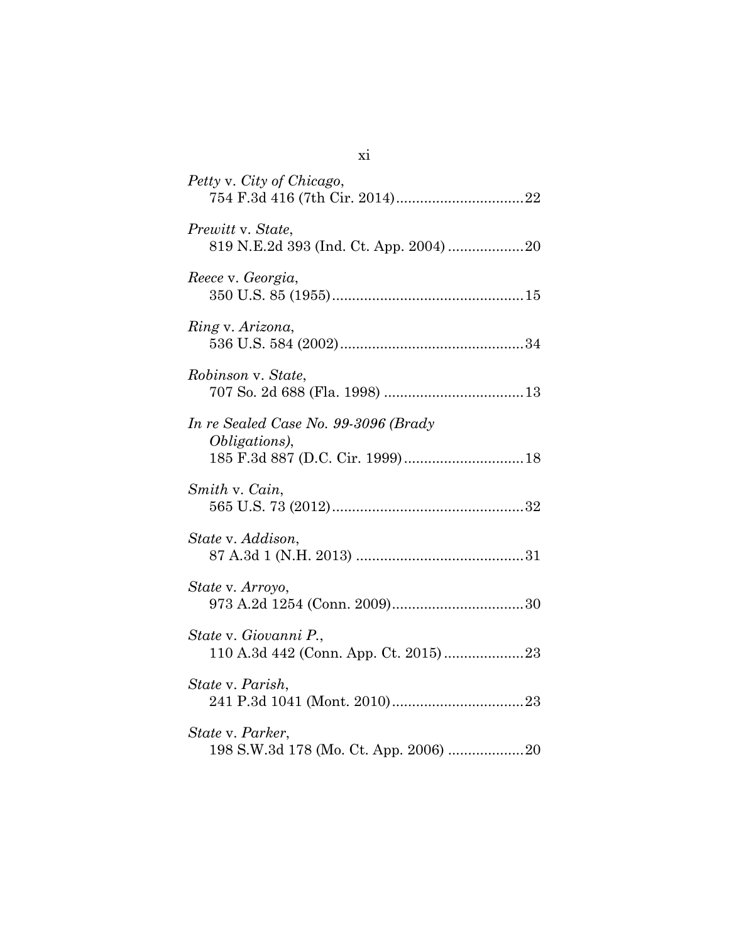| Petty v. City of Chicago,                                     |
|---------------------------------------------------------------|
| Prewitt v. State,<br>819 N.E.2d 393 (Ind. Ct. App. 2004)  20  |
| Reece v. Georgia,                                             |
| Ring v. Arizona,                                              |
| Robinson v. State,                                            |
| In re Sealed Case No. 99-3096 (Brady<br><i>Obligations</i> ), |
| Smith v. Cain,                                                |
| State v. Addison,                                             |
| State v. Arroyo,                                              |
| State v. Giovanni P.,                                         |
| State v. Parish,                                              |
| State v. Parker,                                              |

xi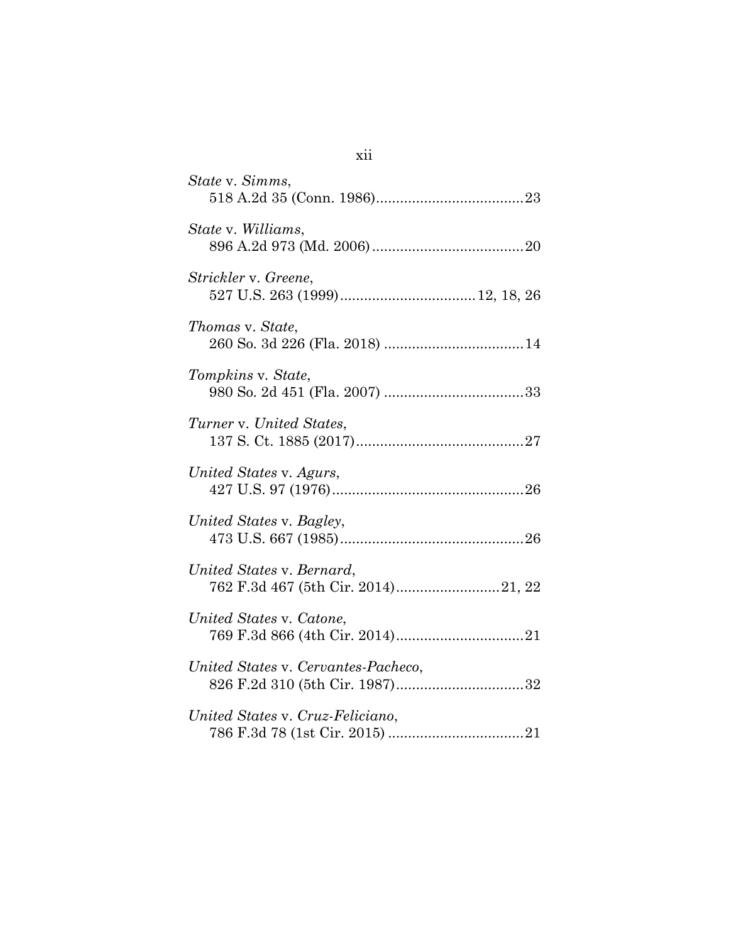| State v. Simms,                     |
|-------------------------------------|
| State v. Williams,                  |
| Strickler v. Greene,                |
| Thomas v. State,                    |
| Tompkins v. State,                  |
| Turner v. United States,            |
| United States v. Agurs,             |
| United States v. Bagley,            |
| United States v. Bernard,           |
| United States v. Catone,            |
| United States v. Cervantes-Pacheco, |
| United States v. Cruz-Feliciano,    |

xii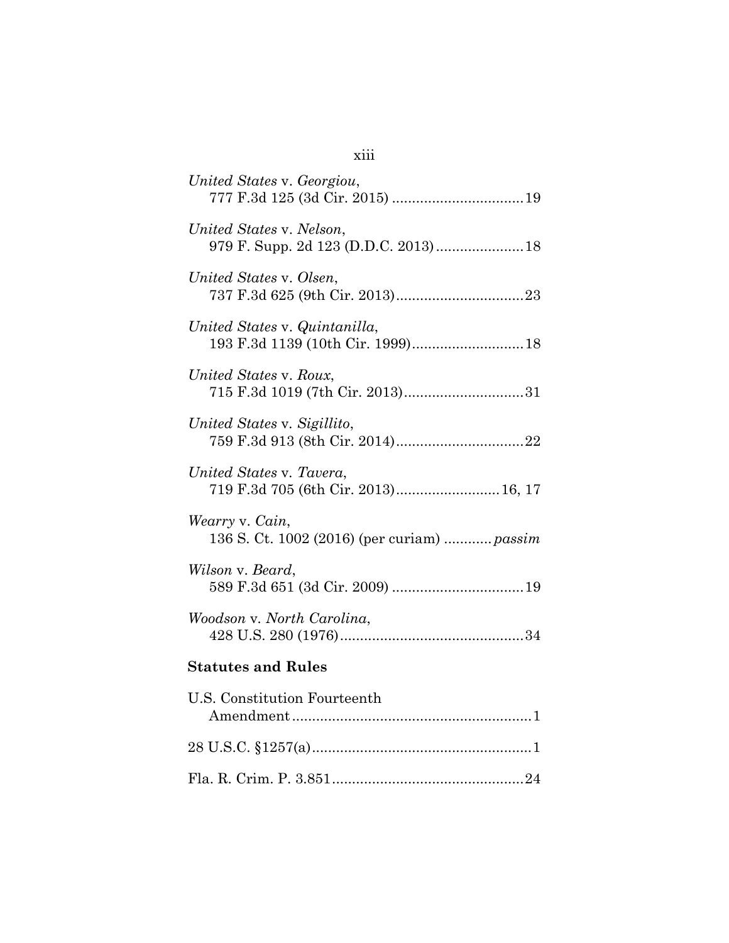| United States v. Georgiou,                                         |
|--------------------------------------------------------------------|
| United States v. Nelson,<br>979 F. Supp. 2d 123 (D.D.C. 2013) 18   |
| United States v. Olsen,                                            |
| United States v. Quintanilla,<br>193 F.3d 1139 (10th Cir. 1999) 18 |
| United States v. Roux,<br>715 F.3d 1019 (7th Cir. 2013)31          |
| United States v. Sigillito,                                        |
| United States v. Tavera,<br>719 F.3d 705 (6th Cir. 2013) 16, 17    |
| Wearry v. Cain,<br>136 S. Ct. 1002 (2016) (per curiam)  passim     |
| Wilson v. Beard,                                                   |
| Woodson v. North Carolina,                                         |
| <b>Statutes and Rules</b>                                          |
| U.S. Constitution Fourteenth                                       |
|                                                                    |
|                                                                    |

xiii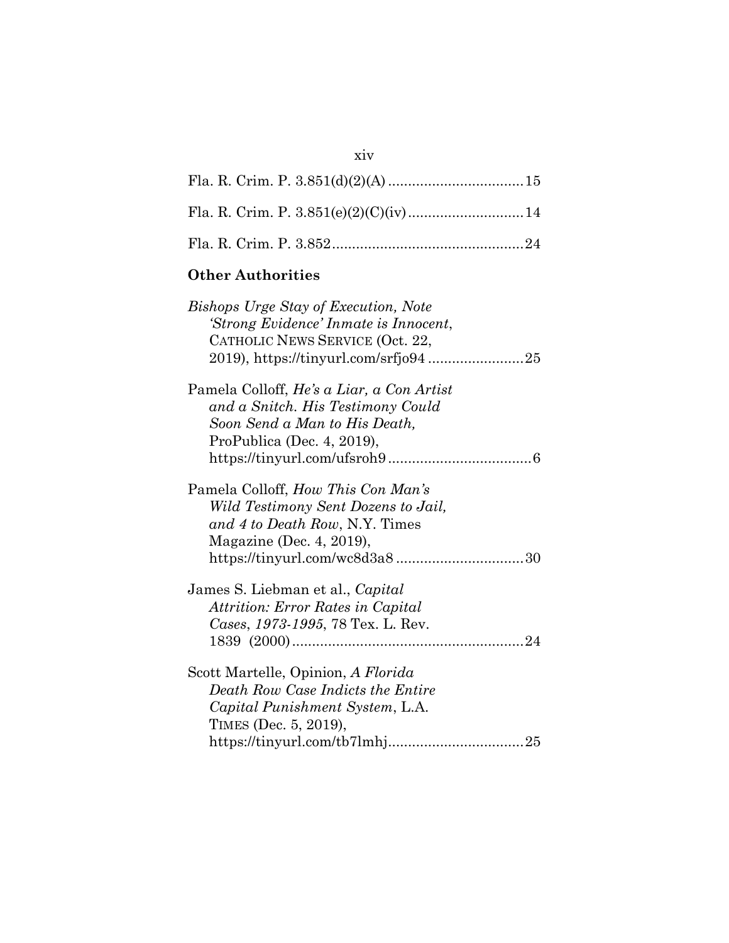## **Other Authorities**

| <b>Bishops Urge Stay of Execution, Note</b><br>'Strong Evidence' Inmate is Innocent,<br>CATHOLIC NEWS SERVICE (Oct. 22,                       |
|-----------------------------------------------------------------------------------------------------------------------------------------------|
| Pamela Colloff, He's a Liar, a Con Artist<br>and a Snitch. His Testimony Could<br>Soon Send a Man to His Death,<br>ProPublica (Dec. 4, 2019), |
| Pamela Colloff, How This Con Man's<br>Wild Testimony Sent Dozens to Jail,<br>and 4 to Death Row, N.Y. Times<br>Magazine (Dec. 4, 2019),       |
| James S. Liebman et al., Capital<br>Attrition: Error Rates in Capital<br>Cases, 1973-1995, 78 Tex. L. Rev.                                    |
| Scott Martelle, Opinion, A Florida<br>Death Row Case Indicts the Entire<br>Capital Punishment System, L.A.<br>TIMES (Dec. 5, 2019),           |

## xiv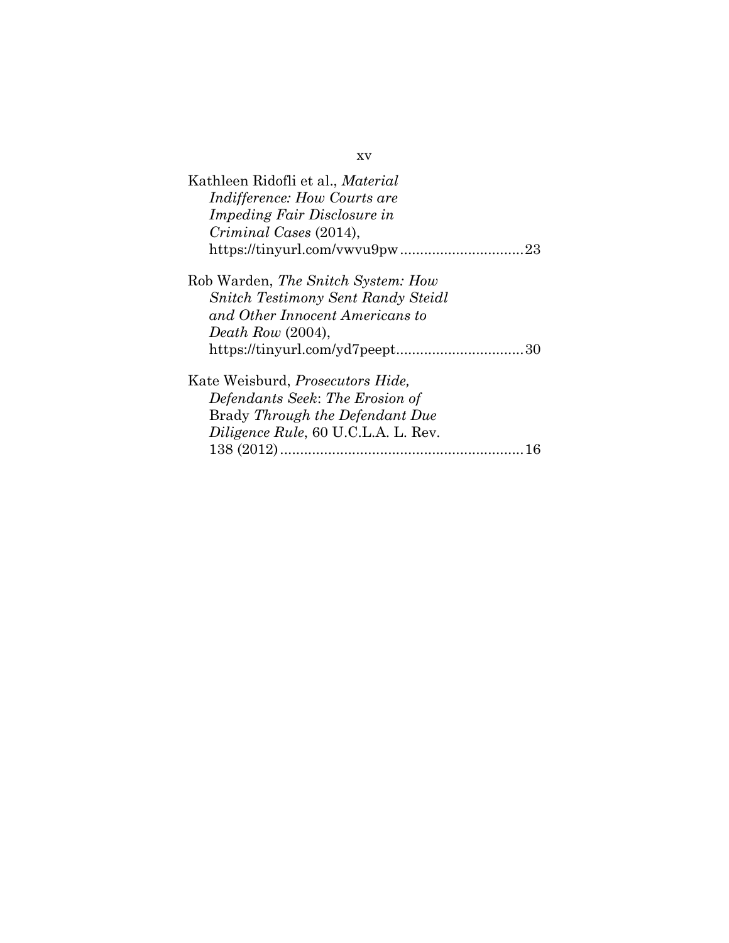| Kathleen Ridofli et al., <i>Material</i><br>Indifference: How Courts are<br><i>Impeding Fair Disclosure in</i><br>Criminal Cases (2014),                     |
|--------------------------------------------------------------------------------------------------------------------------------------------------------------|
| Rob Warden, The Snitch System: How<br><b>Snitch Testimony Sent Randy Steidl</b><br>and Other Innocent Americans to<br>Death Row $(2004)$ ,                   |
| Kate Weisburd, <i>Prosecutors Hide</i> ,<br>Defendants Seek: The Erosion of<br>Brady Through the Defendant Due<br><i>Diligence Rule, 60 U.C.L.A. L. Rev.</i> |

xv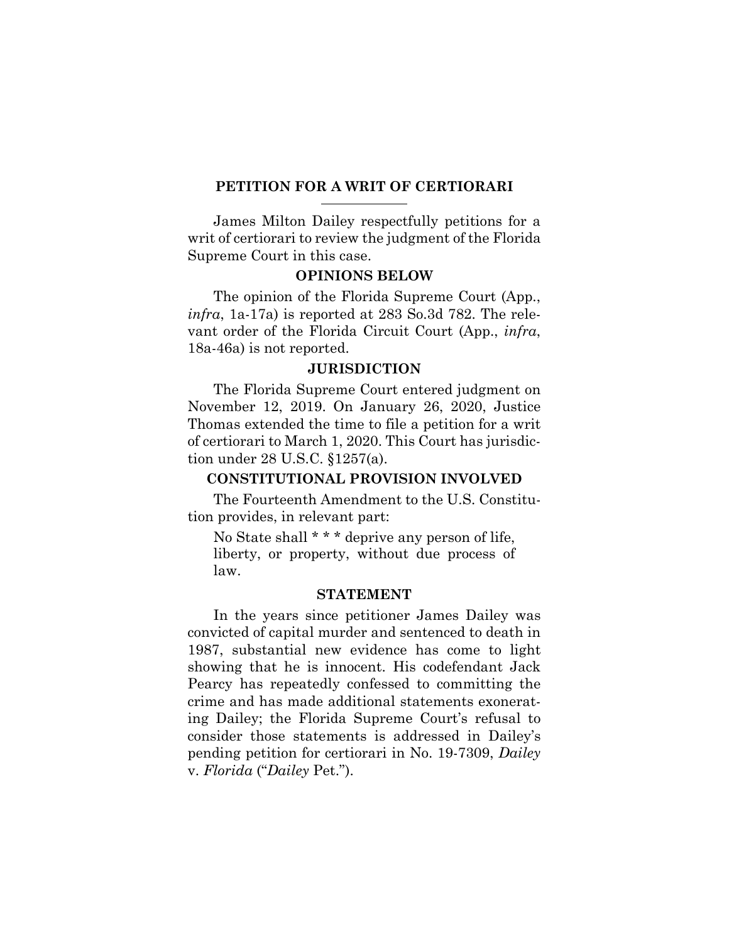### **PETITION FOR A WRIT OF CERTIORARI**

James Milton Dailey respectfully petitions for a writ of certiorari to review the judgment of the Florida Supreme Court in this case.

### <span id="page-17-0"></span>**OPINIONS BELOW**

The opinion of the Florida Supreme Court (App., *infra*, 1a-17a) is reported at 283 So.3d 782. The relevant order of the Florida Circuit Court (App., *infra*, 18a-46a) is not reported.

#### **JURISDICTION**

The Florida Supreme Court entered judgment on November 12, 2019. On January 26, 2020, Justice Thomas extended the time to file a petition for a writ of certiorari to March 1, 2020. This Court has jurisdiction under 28 U.S.C. §1257(a).

## <span id="page-17-2"></span><span id="page-17-1"></span>**CONSTITUTIONAL PROVISION INVOLVED**

The Fourteenth Amendment to the U.S. Constitution provides, in relevant part:

No State shall \* \* \* deprive any person of life, liberty, or property, without due process of law.

#### **STATEMENT**

In the years since petitioner James Dailey was convicted of capital murder and sentenced to death in 1987, substantial new evidence has come to light showing that he is innocent. His codefendant Jack Pearcy has repeatedly confessed to committing the crime and has made additional statements exonerating Dailey; the Florida Supreme Court's refusal to consider those statements is addressed in Dailey's pending petition for certiorari in No. 19-7309, *Dailey* v. *Florida* ("*Dailey* Pet.").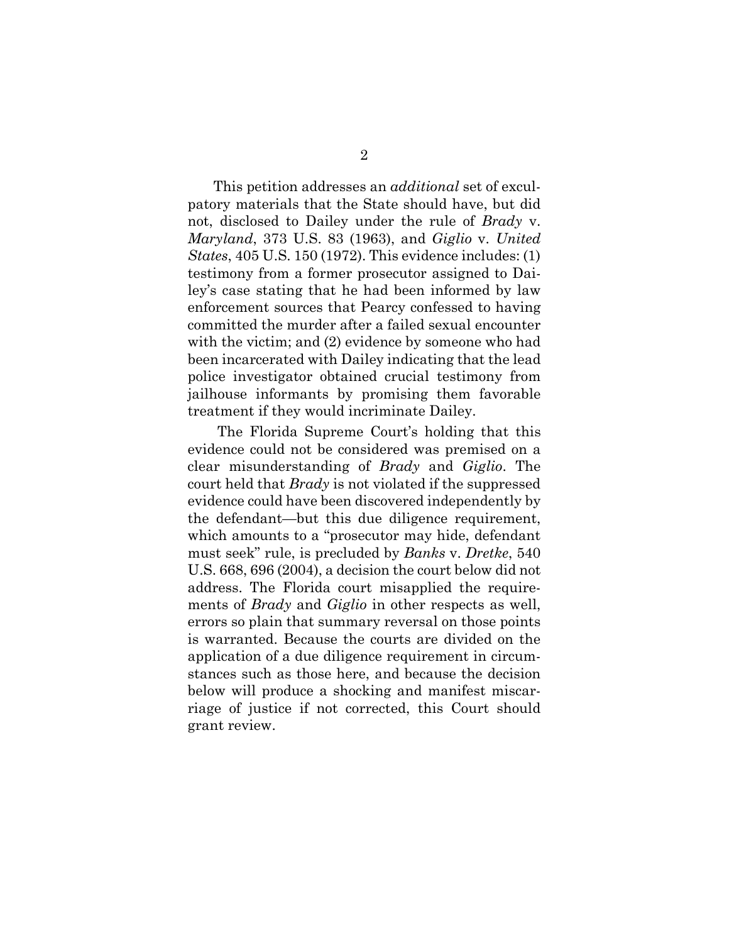<span id="page-18-2"></span><span id="page-18-1"></span>This petition addresses an *additional* set of exculpatory materials that the State should have, but did not, disclosed to Dailey under the rule of *Brady* v. *Maryland*, 373 U.S. 83 (1963), and *Giglio* v. *United States*, 405 U.S. 150 (1972). This evidence includes: (1) testimony from a former prosecutor assigned to Dailey's case stating that he had been informed by law enforcement sources that Pearcy confessed to having committed the murder after a failed sexual encounter with the victim; and (2) evidence by someone who had been incarcerated with Dailey indicating that the lead police investigator obtained crucial testimony from jailhouse informants by promising them favorable treatment if they would incriminate Dailey.

<span id="page-18-0"></span> The Florida Supreme Court's holding that this evidence could not be considered was premised on a clear misunderstanding of *Brady* and *Giglio*. The court held that *Brady* is not violated if the suppressed evidence could have been discovered independently by the defendant—but this due diligence requirement, which amounts to a "prosecutor may hide, defendant must seek" rule, is precluded by *Banks* v. *Dretke*, 540 U.S. 668, 696 (2004), a decision the court below did not address. The Florida court misapplied the requirements of *Brady* and *Giglio* in other respects as well, errors so plain that summary reversal on those points is warranted. Because the courts are divided on the application of a due diligence requirement in circumstances such as those here, and because the decision below will produce a shocking and manifest miscarriage of justice if not corrected, this Court should grant review.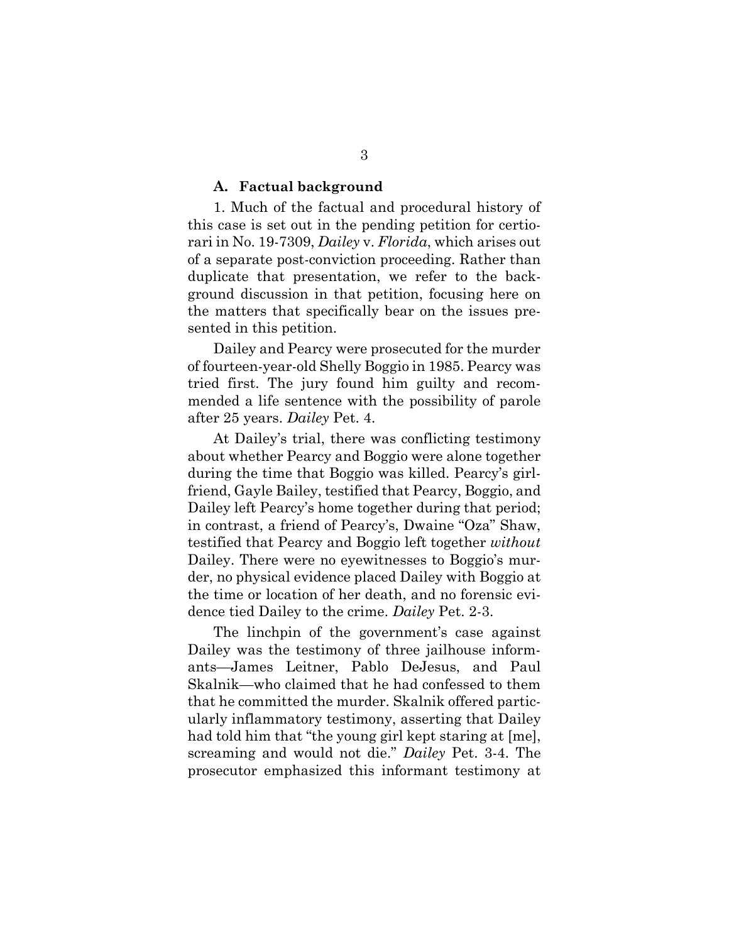#### **A. Factual background**

1. Much of the factual and procedural history of this case is set out in the pending petition for certiorari in No. 19-7309, *Dailey* v. *Florida*, which arises out of a separate post-conviction proceeding. Rather than duplicate that presentation, we refer to the background discussion in that petition, focusing here on the matters that specifically bear on the issues presented in this petition.

Dailey and Pearcy were prosecuted for the murder of fourteen-year-old Shelly Boggio in 1985. Pearcy was tried first. The jury found him guilty and recommended a life sentence with the possibility of parole after 25 years. *Dailey* Pet. 4.

At Dailey's trial, there was conflicting testimony about whether Pearcy and Boggio were alone together during the time that Boggio was killed. Pearcy's girlfriend, Gayle Bailey, testified that Pearcy, Boggio, and Dailey left Pearcy's home together during that period; in contrast, a friend of Pearcy's, Dwaine "Oza" Shaw, testified that Pearcy and Boggio left together *without* Dailey. There were no eyewitnesses to Boggio's murder, no physical evidence placed Dailey with Boggio at the time or location of her death, and no forensic evidence tied Dailey to the crime. *Dailey* Pet. 2-3.

The linchpin of the government's case against Dailey was the testimony of three jailhouse informants—James Leitner, Pablo DeJesus, and Paul Skalnik—who claimed that he had confessed to them that he committed the murder. Skalnik offered particularly inflammatory testimony, asserting that Dailey had told him that "the young girl kept staring at [me], screaming and would not die." *Dailey* Pet. 3-4. The prosecutor emphasized this informant testimony at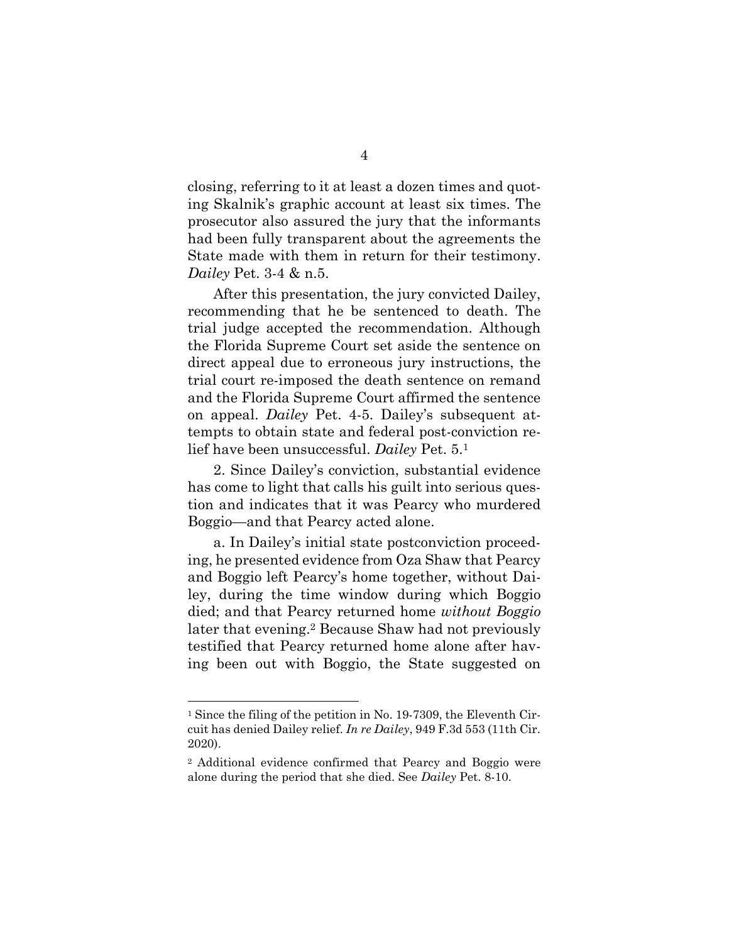closing, referring to it at least a dozen times and quoting Skalnik's graphic account at least six times. The prosecutor also assured the jury that the informants had been fully transparent about the agreements the State made with them in return for their testimony. *Dailey* Pet. 3-4 & n.5.

After this presentation, the jury convicted Dailey, recommending that he be sentenced to death. The trial judge accepted the recommendation. Although the Florida Supreme Court set aside the sentence on direct appeal due to erroneous jury instructions, the trial court re-imposed the death sentence on remand and the Florida Supreme Court affirmed the sentence on appeal. *Dailey* Pet. 4-5. Dailey's subsequent attempts to obtain state and federal post-conviction relief have been unsuccessful. *Dailey* Pet. 5.<sup>1</sup>

2. Since Dailey's conviction, substantial evidence has come to light that calls his guilt into serious question and indicates that it was Pearcy who murdered Boggio—and that Pearcy acted alone.

a. In Dailey's initial state postconviction proceeding, he presented evidence from Oza Shaw that Pearcy and Boggio left Pearcy's home together, without Dailey, during the time window during which Boggio died; and that Pearcy returned home *without Boggio* later that evening.2 Because Shaw had not previously testified that Pearcy returned home alone after having been out with Boggio, the State suggested on

<sup>1</sup> Since the filing of the petition in No. 19-7309, the Eleventh Circuit has denied Dailey relief. *In re Dailey*, 949 F.3d 553 (11th Cir. 2020).

<sup>2</sup> Additional evidence confirmed that Pearcy and Boggio were alone during the period that she died. See *Dailey* Pet. 8-10.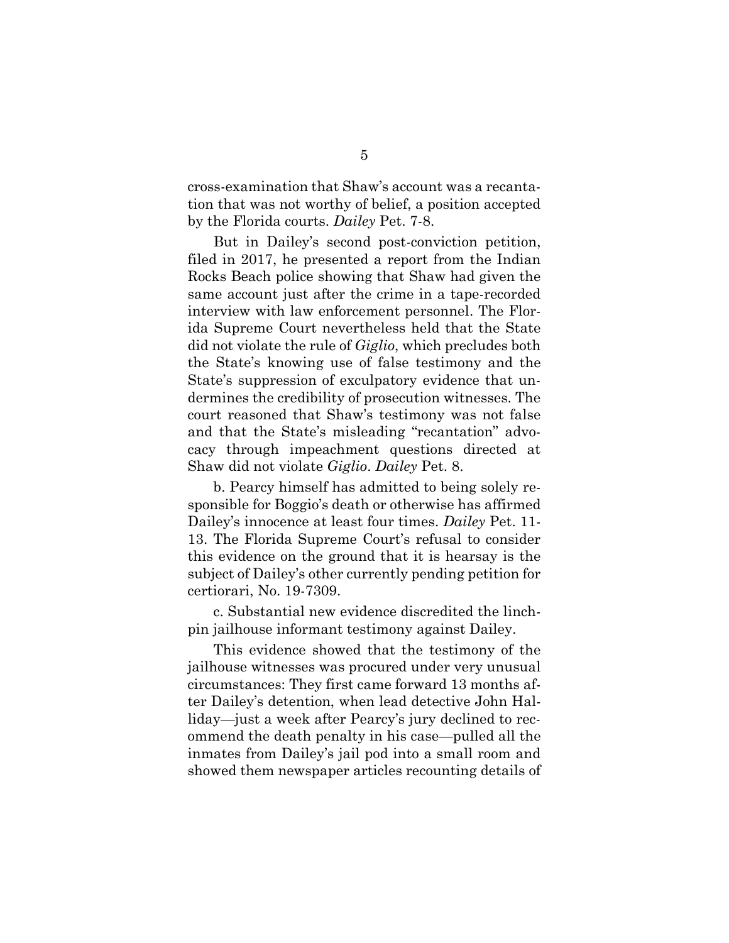cross-examination that Shaw's account was a recantation that was not worthy of belief, a position accepted by the Florida courts. *Dailey* Pet. 7-8.

But in Dailey's second post-conviction petition, filed in 2017, he presented a report from the Indian Rocks Beach police showing that Shaw had given the same account just after the crime in a tape-recorded interview with law enforcement personnel. The Florida Supreme Court nevertheless held that the State did not violate the rule of *Giglio*, which precludes both the State's knowing use of false testimony and the State's suppression of exculpatory evidence that undermines the credibility of prosecution witnesses. The court reasoned that Shaw's testimony was not false and that the State's misleading "recantation" advocacy through impeachment questions directed at Shaw did not violate *Giglio*. *Dailey* Pet. 8.

b. Pearcy himself has admitted to being solely responsible for Boggio's death or otherwise has affirmed Dailey's innocence at least four times. *Dailey* Pet. 11- 13. The Florida Supreme Court's refusal to consider this evidence on the ground that it is hearsay is the subject of Dailey's other currently pending petition for certiorari, No. 19-7309.

c. Substantial new evidence discredited the linchpin jailhouse informant testimony against Dailey.

This evidence showed that the testimony of the jailhouse witnesses was procured under very unusual circumstances: They first came forward 13 months after Dailey's detention, when lead detective John Halliday—just a week after Pearcy's jury declined to recommend the death penalty in his case—pulled all the inmates from Dailey's jail pod into a small room and showed them newspaper articles recounting details of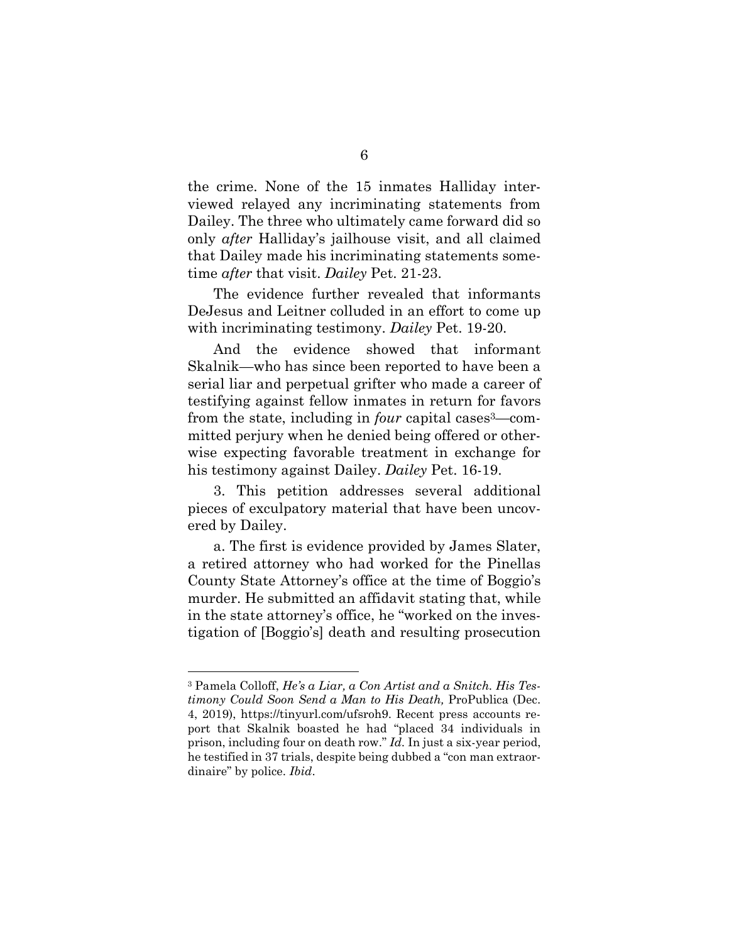the crime. None of the 15 inmates Halliday interviewed relayed any incriminating statements from Dailey. The three who ultimately came forward did so only *after* Halliday's jailhouse visit, and all claimed that Dailey made his incriminating statements sometime *after* that visit. *Dailey* Pet. 21-23.

The evidence further revealed that informants DeJesus and Leitner colluded in an effort to come up with incriminating testimony. *Dailey* Pet. 19-20.

And the evidence showed that informant Skalnik—who has since been reported to have been a serial liar and perpetual grifter who made a career of testifying against fellow inmates in return for favors from the state, including in *four* capital cases3—committed perjury when he denied being offered or otherwise expecting favorable treatment in exchange for his testimony against Dailey. *Dailey* Pet. 16-19.

3. This petition addresses several additional pieces of exculpatory material that have been uncovered by Dailey.

a. The first is evidence provided by James Slater, a retired attorney who had worked for the Pinellas County State Attorney's office at the time of Boggio's murder. He submitted an affidavit stating that, while in the state attorney's office, he "worked on the investigation of [Boggio's] death and resulting prosecution

<span id="page-22-0"></span><sup>3</sup> Pamela Colloff, *He's a Liar, a Con Artist and a Snitch. His Testimony Could Soon Send a Man to His Death,* ProPublica (Dec. 4, 2019), https://tinyurl.com/ufsroh9. Recent press accounts report that Skalnik boasted he had "placed 34 individuals in prison, including four on death row." *Id.* In just a six-year period, he testified in 37 trials, despite being dubbed a "con man extraordinaire" by police. *Ibid*.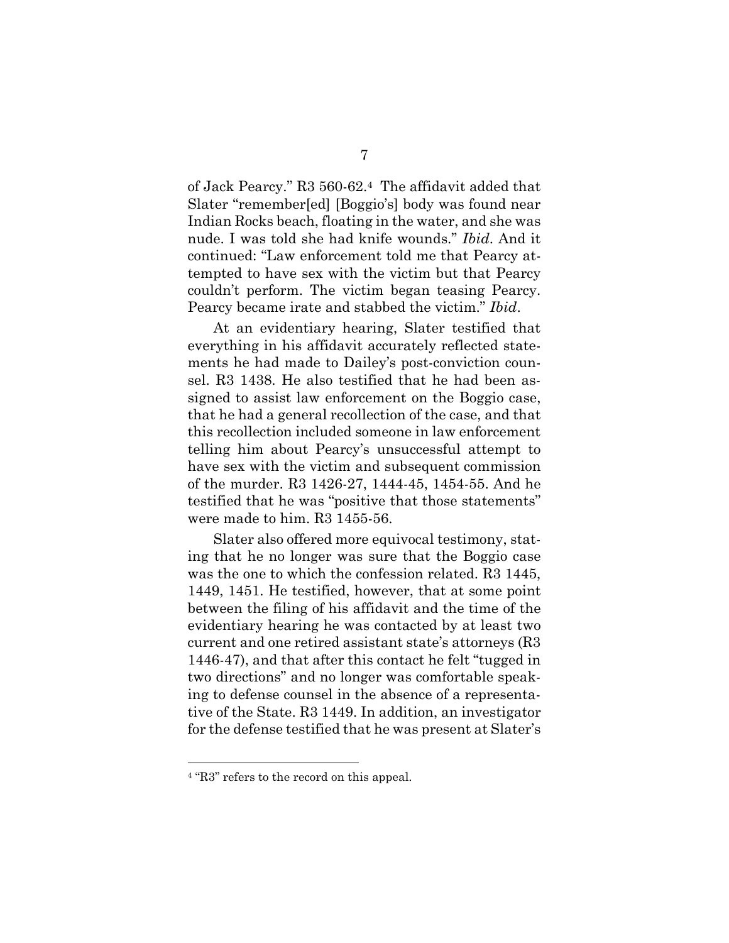of Jack Pearcy." R3 560-62.4 The affidavit added that Slater "remember[ed] [Boggio's] body was found near Indian Rocks beach, floating in the water, and she was nude. I was told she had knife wounds." *Ibid*. And it continued: "Law enforcement told me that Pearcy attempted to have sex with the victim but that Pearcy couldn't perform. The victim began teasing Pearcy. Pearcy became irate and stabbed the victim." *Ibid*.

At an evidentiary hearing, Slater testified that everything in his affidavit accurately reflected statements he had made to Dailey's post-conviction counsel. R3 1438. He also testified that he had been assigned to assist law enforcement on the Boggio case, that he had a general recollection of the case, and that this recollection included someone in law enforcement telling him about Pearcy's unsuccessful attempt to have sex with the victim and subsequent commission of the murder. R3 1426-27, 1444-45, 1454-55. And he testified that he was "positive that those statements" were made to him. R3 1455-56.

Slater also offered more equivocal testimony, stating that he no longer was sure that the Boggio case was the one to which the confession related. R3 1445, 1449, 1451. He testified, however, that at some point between the filing of his affidavit and the time of the evidentiary hearing he was contacted by at least two current and one retired assistant state's attorneys (R3 1446-47), and that after this contact he felt "tugged in two directions" and no longer was comfortable speaking to defense counsel in the absence of a representative of the State. R3 1449. In addition, an investigator for the defense testified that he was present at Slater's

<sup>4</sup> "R3" refers to the record on this appeal.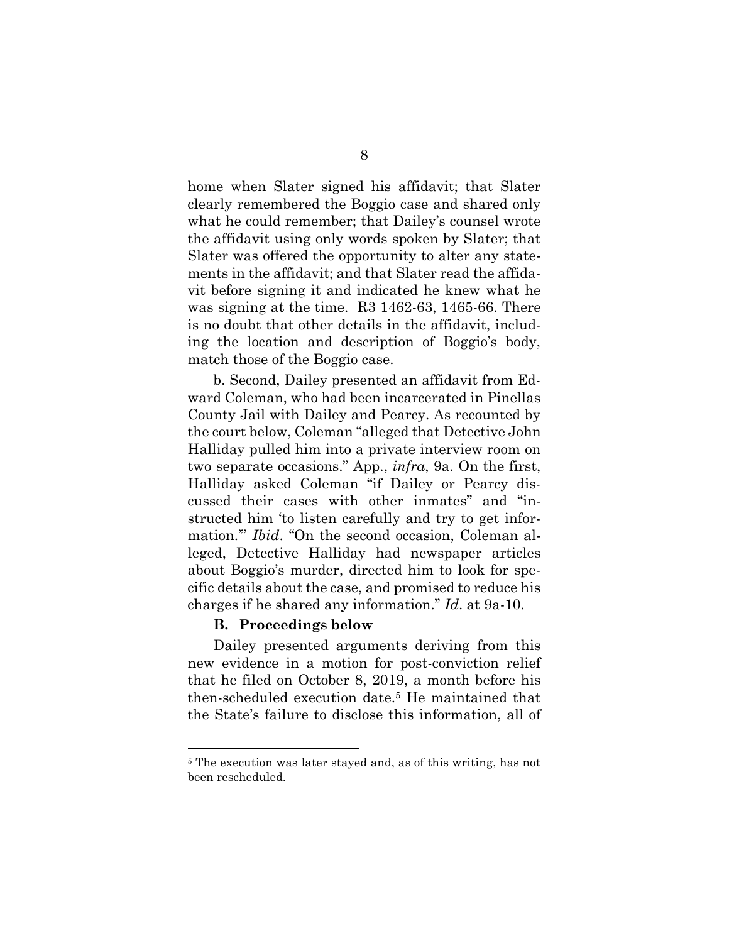home when Slater signed his affidavit; that Slater clearly remembered the Boggio case and shared only what he could remember; that Dailey's counsel wrote the affidavit using only words spoken by Slater; that Slater was offered the opportunity to alter any statements in the affidavit; and that Slater read the affidavit before signing it and indicated he knew what he was signing at the time. R3 1462-63, 1465-66. There is no doubt that other details in the affidavit, including the location and description of Boggio's body, match those of the Boggio case.

b. Second, Dailey presented an affidavit from Edward Coleman, who had been incarcerated in Pinellas County Jail with Dailey and Pearcy. As recounted by the court below, Coleman "alleged that Detective John Halliday pulled him into a private interview room on two separate occasions." App., *infra*, 9a. On the first, Halliday asked Coleman "if Dailey or Pearcy discussed their cases with other inmates" and "instructed him 'to listen carefully and try to get information.'" *Ibid*. "On the second occasion, Coleman alleged, Detective Halliday had newspaper articles about Boggio's murder, directed him to look for specific details about the case, and promised to reduce his charges if he shared any information." *Id*. at 9a-10.

### **B. Proceedings below**

Dailey presented arguments deriving from this new evidence in a motion for post-conviction relief that he filed on October 8, 2019, a month before his then-scheduled execution date.5 He maintained that the State's failure to disclose this information, all of

<sup>5</sup> The execution was later stayed and, as of this writing, has not been rescheduled.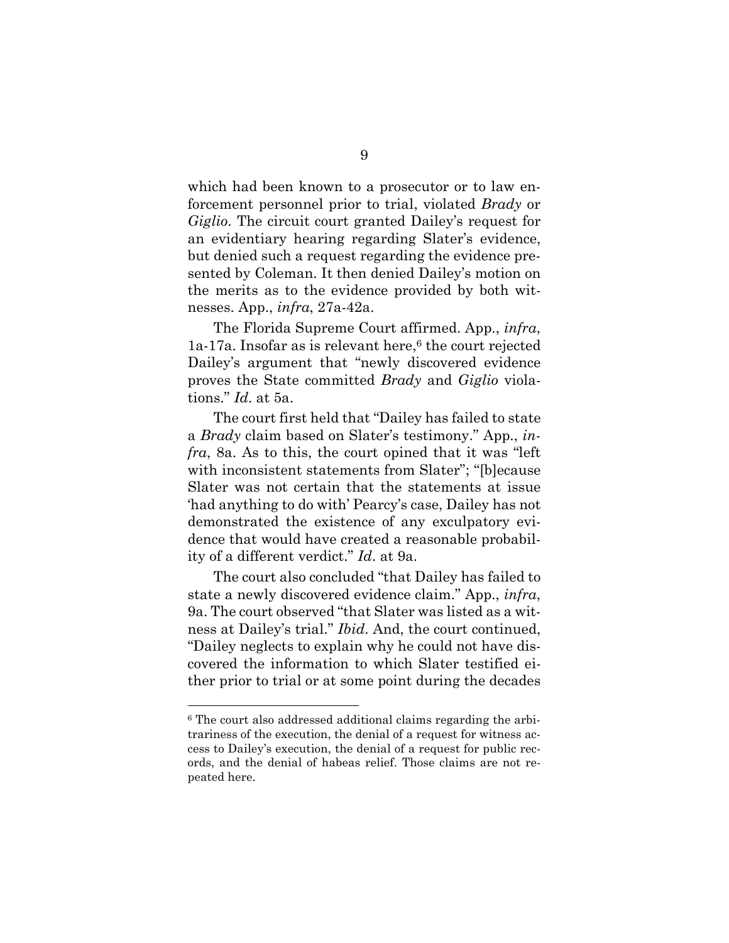which had been known to a prosecutor or to law enforcement personnel prior to trial, violated *Brady* or *Giglio*. The circuit court granted Dailey's request for an evidentiary hearing regarding Slater's evidence, but denied such a request regarding the evidence presented by Coleman. It then denied Dailey's motion on the merits as to the evidence provided by both witnesses. App., *infra*, 27a-42a.

The Florida Supreme Court affirmed. App., *infra*,  $1a-17a$ . Insofar as is relevant here,<sup>6</sup> the court rejected Dailey's argument that "newly discovered evidence proves the State committed *Brady* and *Giglio* violations." *Id*. at 5a.

The court first held that "Dailey has failed to state a *Brady* claim based on Slater's testimony." App., *infra*, 8a. As to this, the court opined that it was "left with inconsistent statements from Slater"; "[b]ecause Slater was not certain that the statements at issue 'had anything to do with' Pearcy's case, Dailey has not demonstrated the existence of any exculpatory evidence that would have created a reasonable probability of a different verdict." *Id*. at 9a.

The court also concluded "that Dailey has failed to state a newly discovered evidence claim." App., *infra*, 9a. The court observed "that Slater was listed as a witness at Dailey's trial." *Ibid*. And, the court continued, "Dailey neglects to explain why he could not have discovered the information to which Slater testified either prior to trial or at some point during the decades

<sup>6</sup> The court also addressed additional claims regarding the arbitrariness of the execution, the denial of a request for witness access to Dailey's execution, the denial of a request for public records, and the denial of habeas relief. Those claims are not repeated here.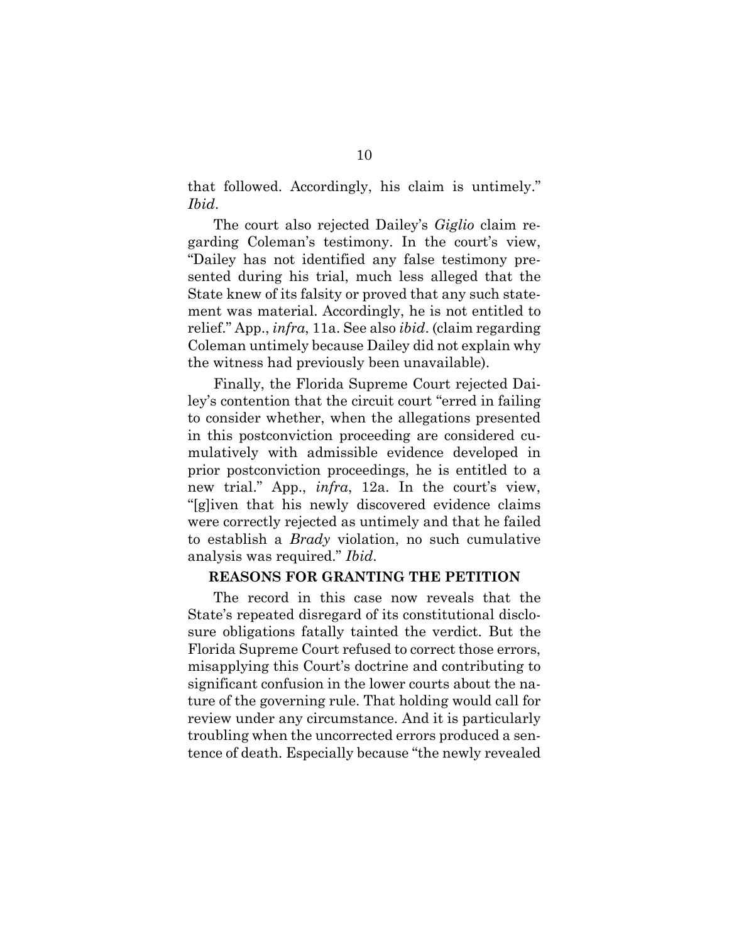that followed. Accordingly, his claim is untimely." *Ibid*.

The court also rejected Dailey's *Giglio* claim regarding Coleman's testimony. In the court's view, "Dailey has not identified any false testimony presented during his trial, much less alleged that the State knew of its falsity or proved that any such statement was material. Accordingly, he is not entitled to relief." App., *infra*, 11a. See also *ibid*. (claim regarding Coleman untimely because Dailey did not explain why the witness had previously been unavailable).

Finally, the Florida Supreme Court rejected Dailey's contention that the circuit court "erred in failing to consider whether, when the allegations presented in this postconviction proceeding are considered cumulatively with admissible evidence developed in prior postconviction proceedings, he is entitled to a new trial." App., *infra*, 12a. In the court's view, "[g]iven that his newly discovered evidence claims were correctly rejected as untimely and that he failed to establish a *Brady* violation, no such cumulative analysis was required." *Ibid*.

### **REASONS FOR GRANTING THE PETITION**

The record in this case now reveals that the State's repeated disregard of its constitutional disclosure obligations fatally tainted the verdict. But the Florida Supreme Court refused to correct those errors, misapplying this Court's doctrine and contributing to significant confusion in the lower courts about the nature of the governing rule. That holding would call for review under any circumstance. And it is particularly troubling when the uncorrected errors produced a sentence of death. Especially because "the newly revealed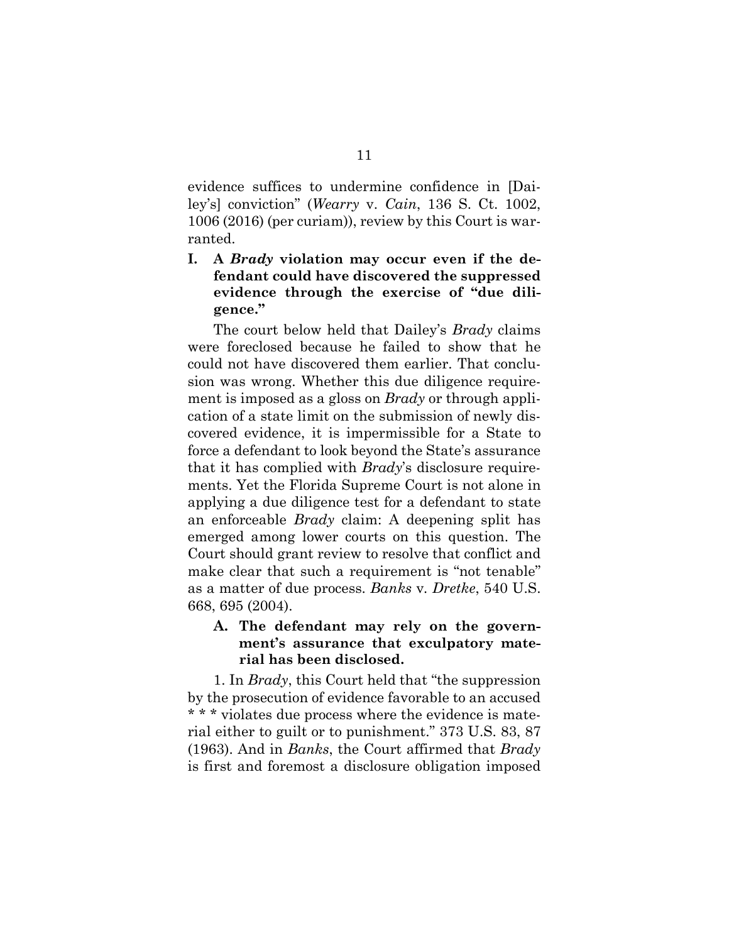<span id="page-27-0"></span>evidence suffices to undermine confidence in [Dailey's] conviction" (*Wearry* v. *Cain*, 136 S. Ct. 1002, 1006 (2016) (per curiam)), review by this Court is warranted.

## **I. A** *Brady* **violation may occur even if the defendant could have discovered the suppressed evidence through the exercise of "due diligence."**

The court below held that Dailey's *Brady* claims were foreclosed because he failed to show that he could not have discovered them earlier. That conclusion was wrong. Whether this due diligence requirement is imposed as a gloss on *Brady* or through application of a state limit on the submission of newly discovered evidence, it is impermissible for a State to force a defendant to look beyond the State's assurance that it has complied with *Brady*'s disclosure requirements. Yet the Florida Supreme Court is not alone in applying a due diligence test for a defendant to state an enforceable *Brady* claim: A deepening split has emerged among lower courts on this question. The Court should grant review to resolve that conflict and make clear that such a requirement is "not tenable" as a matter of due process. *Banks* v*. Dretke*, 540 U.S. 668, 695 (2004).

## **A. The defendant may rely on the government's assurance that exculpatory material has been disclosed.**

1. In *Brady*, this Court held that "the suppression by the prosecution of evidence favorable to an accused \* \* \* violates due process where the evidence is material either to guilt or to punishment." 373 U.S. 83, 87 (1963). And in *Banks*, the Court affirmed that *Brady*  is first and foremost a disclosure obligation imposed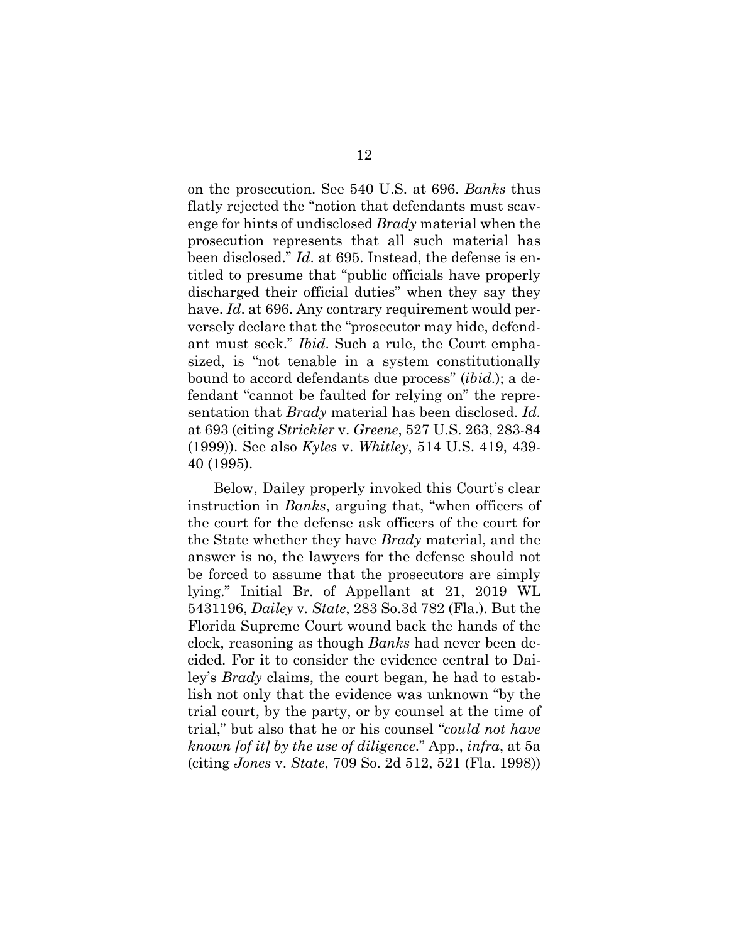on the prosecution. See 540 U.S. at 696. *Banks* thus flatly rejected the "notion that defendants must scavenge for hints of undisclosed *Brady* material when the prosecution represents that all such material has been disclosed." *Id*. at 695. Instead, the defense is entitled to presume that "public officials have properly discharged their official duties" when they say they have. *Id.* at 696. Any contrary requirement would perversely declare that the "prosecutor may hide, defendant must seek." *Ibid*. Such a rule, the Court emphasized, is "not tenable in a system constitutionally bound to accord defendants due process" (*ibid*.); a defendant "cannot be faulted for relying on" the representation that *Brady* material has been disclosed. *Id.* at 693 (citing *Strickler* v. *Greene*, 527 U.S. 263, 283-84 (1999)). See also *Kyles* v. *Whitley*, 514 U.S. 419, 439- 40 (1995).

<span id="page-28-3"></span><span id="page-28-2"></span><span id="page-28-1"></span><span id="page-28-0"></span>Below, Dailey properly invoked this Court's clear instruction in *Banks*, arguing that, "when officers of the court for the defense ask officers of the court for the State whether they have *Brady* material, and the answer is no, the lawyers for the defense should not be forced to assume that the prosecutors are simply lying." Initial Br. of Appellant at 21, 2019 WL 5431196, *Dailey* v*. State*, 283 So.3d 782 (Fla.). But the Florida Supreme Court wound back the hands of the clock, reasoning as though *Banks* had never been decided. For it to consider the evidence central to Dailey's *Brady* claims, the court began, he had to establish not only that the evidence was unknown "by the trial court, by the party, or by counsel at the time of trial," but also that he or his counsel "*could not have known [of it] by the use of diligence*." App., *infra*, at 5a (citing *Jones* v. *State*, 709 So. 2d 512, 521 (Fla. 1998))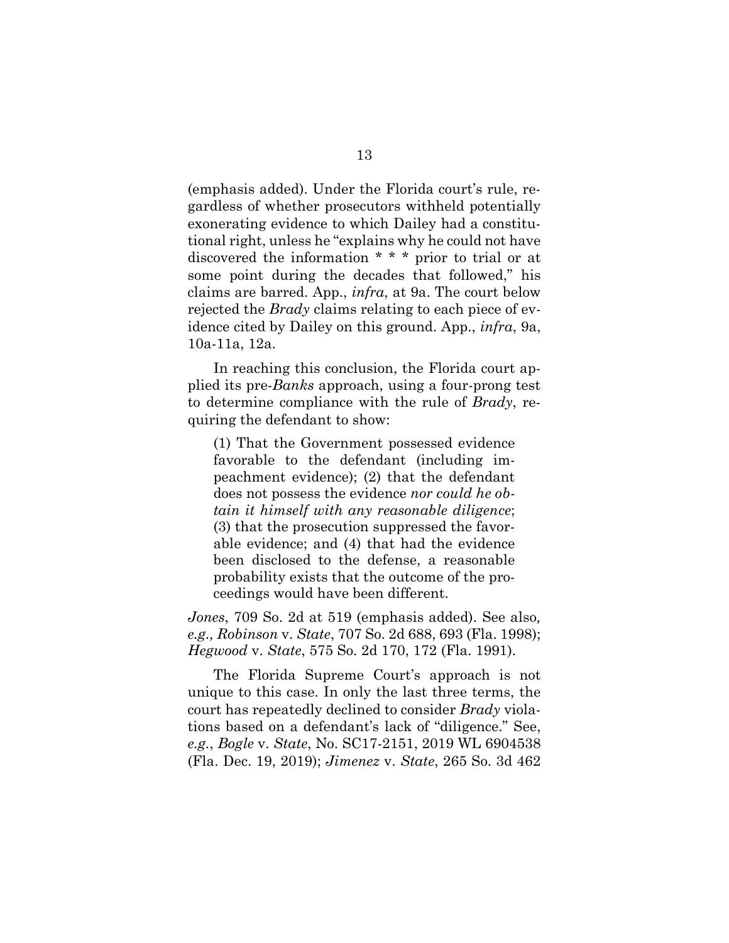(emphasis added). Under the Florida court's rule, regardless of whether prosecutors withheld potentially exonerating evidence to which Dailey had a constitutional right, unless he "explains why he could not have discovered the information \* \* \* prior to trial or at some point during the decades that followed," his claims are barred. App., *infra*, at 9a. The court below rejected the *Brady* claims relating to each piece of evidence cited by Dailey on this ground. App., *infra*, 9a, 10a-11a, 12a.

In reaching this conclusion, the Florida court applied its pre-*Banks* approach, using a four-prong test to determine compliance with the rule of *Brady*, requiring the defendant to show:

(1) That the Government possessed evidence favorable to the defendant (including impeachment evidence); (2) that the defendant does not possess the evidence *nor could he obtain it himself with any reasonable diligence*; (3) that the prosecution suppressed the favorable evidence; and (4) that had the evidence been disclosed to the defense, a reasonable probability exists that the outcome of the proceedings would have been different.

<span id="page-29-4"></span><span id="page-29-3"></span>*Jones*, 709 So. 2d at 519 (emphasis added). See also*, e.g., Robinson* v. *State*, 707 So. 2d 688, 693 (Fla. 1998); *Hegwood* v. *State*, 575 So. 2d 170, 172 (Fla. 1991).

<span id="page-29-2"></span><span id="page-29-1"></span><span id="page-29-0"></span>The Florida Supreme Court's approach is not unique to this case. In only the last three terms, the court has repeatedly declined to consider *Brady* violations based on a defendant's lack of "diligence." See, *e.g.*, *Bogle* v. *State*, No. SC17-2151, 2019 WL 6904538 (Fla. Dec. 19, 2019); *Jimenez* v. *State*, 265 So. 3d 462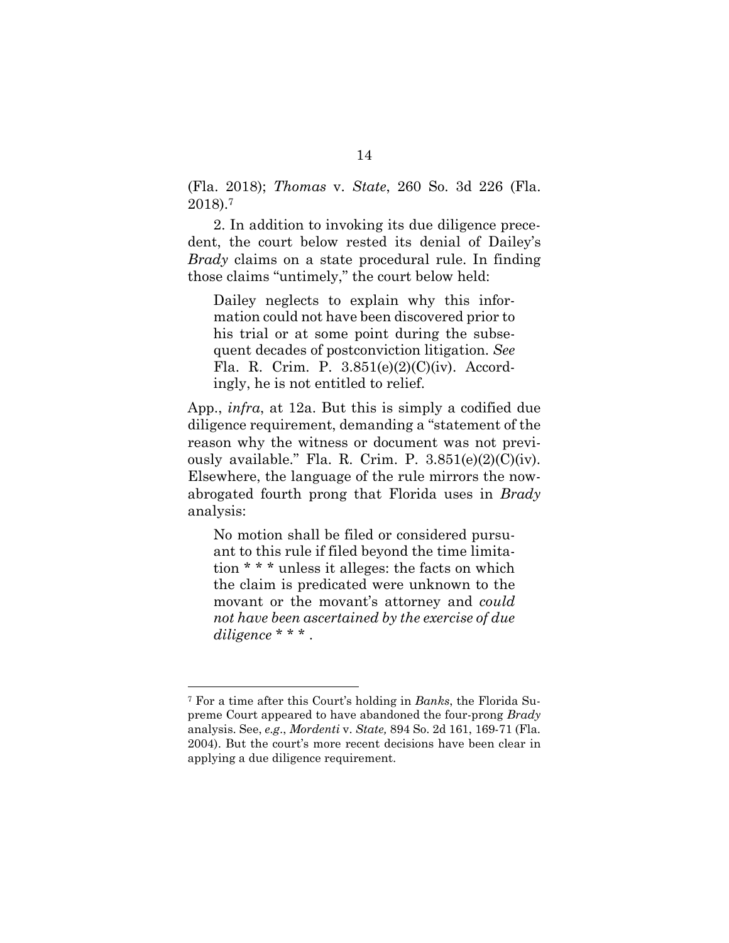<span id="page-30-1"></span>(Fla. 2018); *Thomas* v. *State*, 260 So. 3d 226 (Fla. 2018).<sup>7</sup>

2. In addition to invoking its due diligence precedent, the court below rested its denial of Dailey's *Brady* claims on a state procedural rule. In finding those claims "untimely," the court below held:

Dailey neglects to explain why this information could not have been discovered prior to his trial or at some point during the subsequent decades of postconviction litigation. *See*  Fla. R. Crim. P. 3.851(e)(2)(C)(iv). Accordingly, he is not entitled to relief.

<span id="page-30-2"></span>App., *infra*, at 12a. But this is simply a codified due diligence requirement, demanding a "statement of the reason why the witness or document was not previously available." Fla. R. Crim. P.  $3.851(e)(2)(C)(iv)$ . Elsewhere, the language of the rule mirrors the nowabrogated fourth prong that Florida uses in *Brady*  analysis:

No motion shall be filed or considered pursuant to this rule if filed beyond the time limitation \* \* \* unless it alleges: the facts on which the claim is predicated were unknown to the movant or the movant's attorney and *could not have been ascertained by the exercise of due diligence* \* \* \* .

<span id="page-30-0"></span><sup>7</sup> For a time after this Court's holding in *Banks*, the Florida Supreme Court appeared to have abandoned the four-prong *Brady* analysis. See, *e.g*., *Mordenti* v. *State,* 894 So. 2d 161, 169-71 (Fla. 2004). But the court's more recent decisions have been clear in applying a due diligence requirement.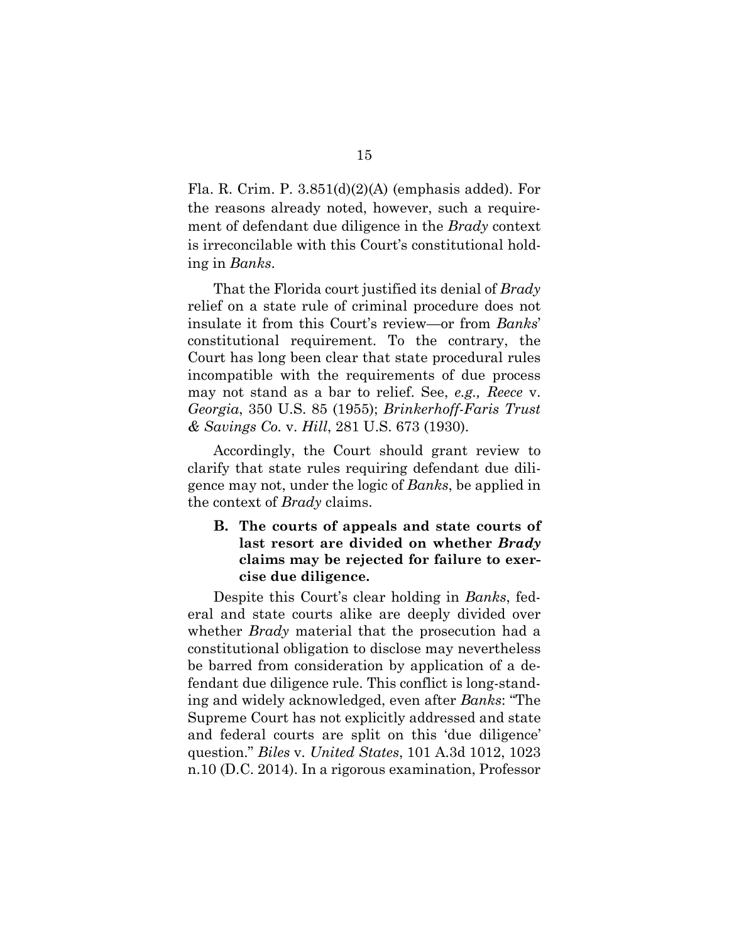<span id="page-31-3"></span>Fla. R. Crim. P. 3.851(d)(2)(A) (emphasis added). For the reasons already noted, however, such a requirement of defendant due diligence in the *Brady* context is irreconcilable with this Court's constitutional holding in *Banks*.

That the Florida court justified its denial of *Brady* relief on a state rule of criminal procedure does not insulate it from this Court's review—or from *Banks*' constitutional requirement. To the contrary, the Court has long been clear that state procedural rules incompatible with the requirements of due process may not stand as a bar to relief. See, *e.g., Reece* v. *Georgia*, 350 U.S. 85 (1955); *Brinkerhoff-Faris Trust & Savings Co.* v. *Hill*, 281 U.S. 673 (1930).

<span id="page-31-1"></span>Accordingly, the Court should grant review to clarify that state rules requiring defendant due diligence may not, under the logic of *Banks*, be applied in the context of *Brady* claims.

## <span id="page-31-2"></span>**B. The courts of appeals and state courts of last resort are divided on whether** *Brady* **claims may be rejected for failure to exercise due diligence.**

<span id="page-31-0"></span>Despite this Court's clear holding in *Banks*, federal and state courts alike are deeply divided over whether *Brady* material that the prosecution had a constitutional obligation to disclose may nevertheless be barred from consideration by application of a defendant due diligence rule. This conflict is long-standing and widely acknowledged, even after *Banks*: "The Supreme Court has not explicitly addressed and state and federal courts are split on this 'due diligence' question." *Biles* v*. United States*, 101 A.3d 1012, 1023 n.10 (D.C. 2014). In a rigorous examination, Professor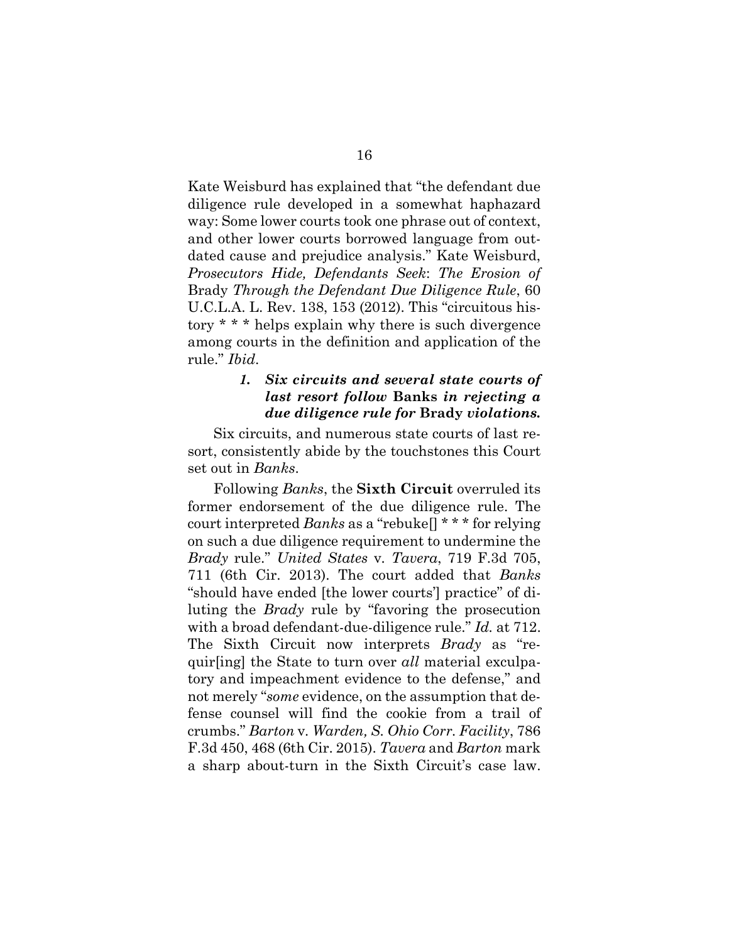Kate Weisburd has explained that "the defendant due diligence rule developed in a somewhat haphazard way: Some lower courts took one phrase out of context, and other lower courts borrowed language from outdated cause and prejudice analysis." Kate Weisburd, *Prosecutors Hide, Defendants Seek*: *The Erosion of*  Brady *Through the Defendant Due Diligence Rule*, 60 U.C.L.A. L. Rev. 138, 153 (2012). This "circuitous history \* \* \* helps explain why there is such divergence among courts in the definition and application of the rule." *Ibid*.

## <span id="page-32-2"></span>*1. Six circuits and several state courts of last resort follow* **Banks** *in rejecting a due diligence rule for* **Brady** *violations.*

Six circuits, and numerous state courts of last resort, consistently abide by the touchstones this Court set out in *Banks*.

<span id="page-32-1"></span><span id="page-32-0"></span>Following *Banks*, the **Sixth Circuit** overruled its former endorsement of the due diligence rule. The court interpreted *Banks* as a "rebuke[] \* \* \* for relying on such a due diligence requirement to undermine the *Brady* rule." *United States* v*. Tavera*, 719 F.3d 705, 711 (6th Cir. 2013). The court added that *Banks*  "should have ended [the lower courts'] practice" of diluting the *Brady* rule by "favoring the prosecution with a broad defendant-due-diligence rule." *Id.* at 712. The Sixth Circuit now interprets *Brady* as "requir[ing] the State to turn over *all* material exculpatory and impeachment evidence to the defense," and not merely "*some* evidence, on the assumption that defense counsel will find the cookie from a trail of crumbs." *Barton* v*. Warden, S. Ohio Corr. Facility*, 786 F.3d 450, 468 (6th Cir. 2015). *Tavera* and *Barton* mark a sharp about-turn in the Sixth Circuit's case law.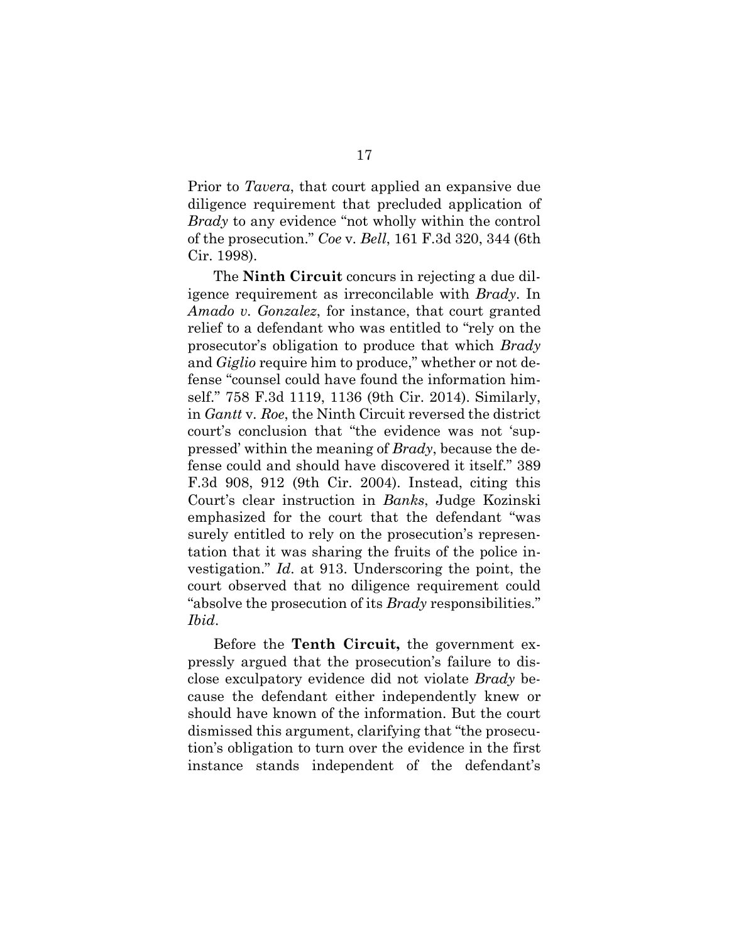<span id="page-33-3"></span>Prior to *Tavera*, that court applied an expansive due diligence requirement that precluded application of *Brady* to any evidence "not wholly within the control of the prosecution." *Coe* v*. Bell*, 161 F.3d 320, 344 (6th Cir. 1998).

<span id="page-33-2"></span><span id="page-33-1"></span><span id="page-33-0"></span>The **Ninth Circuit** concurs in rejecting a due diligence requirement as irreconcilable with *Brady*. In *Amado v. Gonzalez*, for instance, that court granted relief to a defendant who was entitled to "rely on the prosecutor's obligation to produce that which *Brady*  and *Giglio* require him to produce," whether or not defense "counsel could have found the information himself." 758 F.3d 1119, 1136 (9th Cir. 2014). Similarly, in *Gantt* v*. Roe*, the Ninth Circuit reversed the district court's conclusion that "the evidence was not 'suppressed' within the meaning of *Brady*, because the defense could and should have discovered it itself." 389 F.3d 908, 912 (9th Cir. 2004). Instead, citing this Court's clear instruction in *Banks*, Judge Kozinski emphasized for the court that the defendant "was surely entitled to rely on the prosecution's representation that it was sharing the fruits of the police investigation." *Id*. at 913. Underscoring the point, the court observed that no diligence requirement could "absolve the prosecution of its *Brady* responsibilities." *Ibid*.

Before the **Tenth Circuit,** the government expressly argued that the prosecution's failure to disclose exculpatory evidence did not violate *Brady* because the defendant either independently knew or should have known of the information. But the court dismissed this argument, clarifying that "the prosecution's obligation to turn over the evidence in the first instance stands independent of the defendant's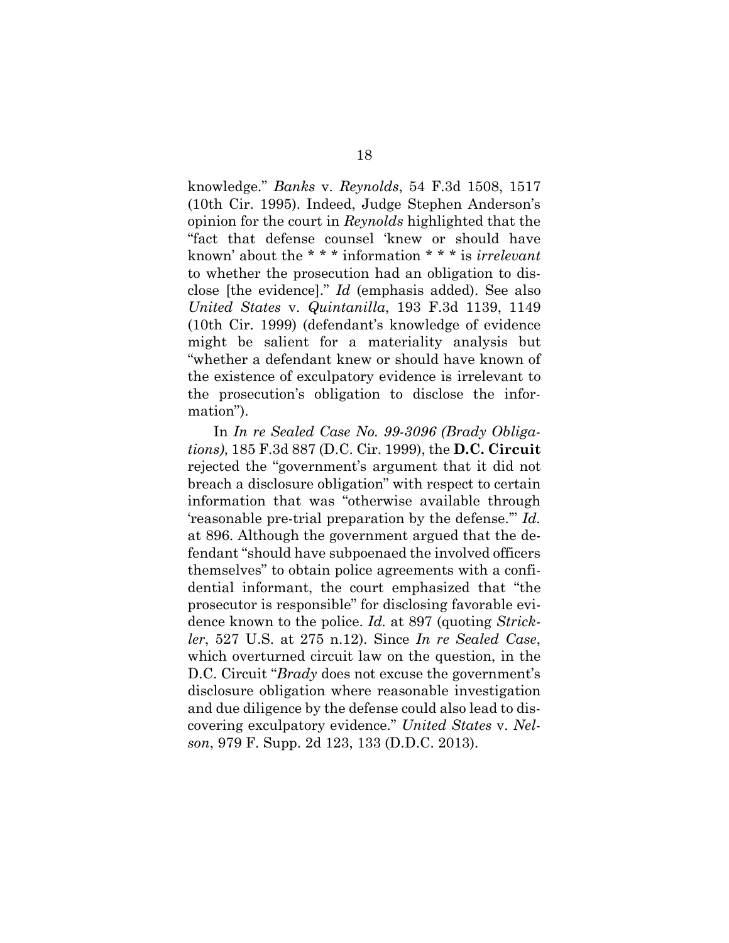<span id="page-34-4"></span><span id="page-34-0"></span>knowledge." *Banks* v. *Reynolds*, 54 F.3d 1508, 1517 (10th Cir. 1995). Indeed, Judge Stephen Anderson's opinion for the court in *Reynolds* highlighted that the "fact that defense counsel 'knew or should have known' about the \* \* \* information \* \* \* is *irrelevant* to whether the prosecution had an obligation to disclose [the evidence]." *Id* (emphasis added). See also *United States* v. *Quintanilla*, 193 F.3d 1139, 1149 (10th Cir. 1999) (defendant's knowledge of evidence might be salient for a materiality analysis but "whether a defendant knew or should have known of the existence of exculpatory evidence is irrelevant to the prosecution's obligation to disclose the information").

<span id="page-34-3"></span><span id="page-34-2"></span><span id="page-34-1"></span>In *In re Sealed Case No. 99-3096 (Brady Obligations)*, 185 F.3d 887 (D.C. Cir. 1999), the **D.C. Circuit**  rejected the "government's argument that it did not breach a disclosure obligation" with respect to certain information that was "otherwise available through 'reasonable pre-trial preparation by the defense.'" *Id.*  at 896. Although the government argued that the defendant "should have subpoenaed the involved officers themselves" to obtain police agreements with a confidential informant, the court emphasized that "the prosecutor is responsible" for disclosing favorable evidence known to the police. *Id.* at 897 (quoting *Strickler*, 527 U.S. at 275 n.12). Since *In re Sealed Case*, which overturned circuit law on the question, in the D.C. Circuit "*Brady* does not excuse the government's disclosure obligation where reasonable investigation and due diligence by the defense could also lead to discovering exculpatory evidence." *United States* v. *Nelson*, 979 F. Supp. 2d 123, 133 (D.D.C. 2013).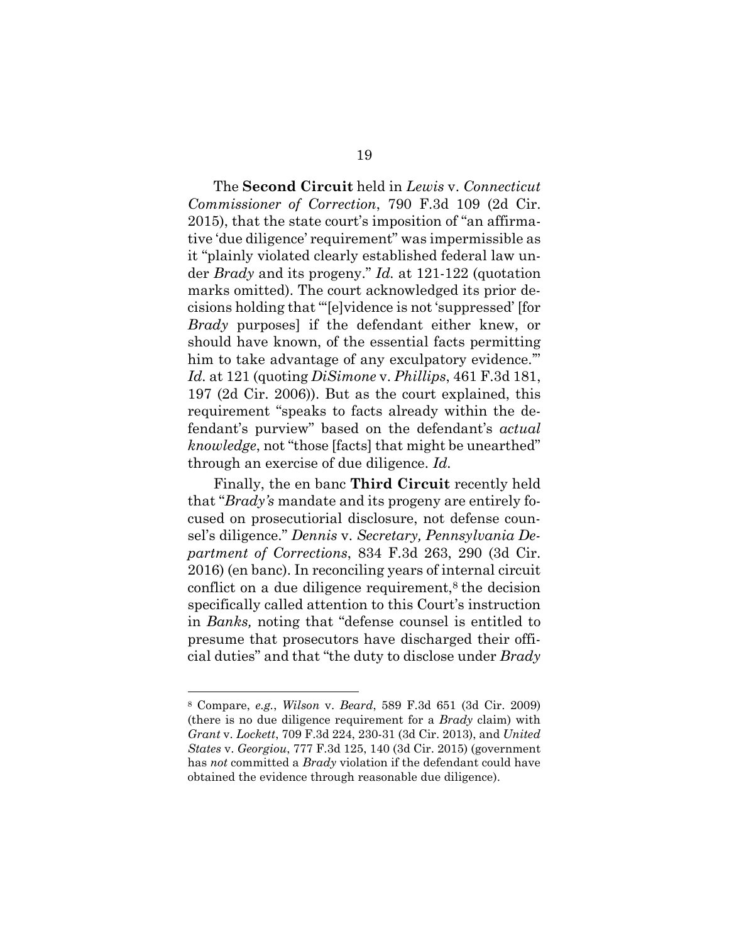<span id="page-35-3"></span>The **Second Circuit** held in *Lewis* v. *Connecticut Commissioner of Correction*, 790 F.3d 109 (2d Cir. 2015), that the state court's imposition of "an affirmative 'due diligence' requirement" was impermissible as it "plainly violated clearly established federal law under *Brady* and its progeny." *Id.* at 121-122 (quotation marks omitted). The court acknowledged its prior decisions holding that "'[e]vidence is not 'suppressed' [for *Brady* purposes] if the defendant either knew, or should have known, of the essential facts permitting him to take advantage of any exculpatory evidence." *Id.* at 121 (quoting *DiSimone* v. *Phillips*, 461 F.3d 181, 197 (2d Cir. 2006)). But as the court explained, this requirement "speaks to facts already within the defendant's purview" based on the defendant's *actual knowledge*, not "those [facts] that might be unearthed" through an exercise of due diligence. *Id.*

<span id="page-35-1"></span><span id="page-35-0"></span>Finally, the en banc **Third Circuit** recently held that "*Brady's* mandate and its progeny are entirely focused on prosecutiorial disclosure, not defense counsel's diligence." *Dennis* v. *Secretary, Pennsylvania Department of Corrections*, 834 F.3d 263, 290 (3d Cir. 2016) (en banc). In reconciling years of internal circuit conflict on a due diligence requirement, $\delta$  the decision specifically called attention to this Court's instruction in *Banks,* noting that "defense counsel is entitled to presume that prosecutors have discharged their official duties" and that "the duty to disclose under *Brady* 

<span id="page-35-5"></span><span id="page-35-4"></span><span id="page-35-2"></span><sup>8</sup> Compare, *e.g.*, *Wilson* v. *Beard*, 589 F.3d 651 (3d Cir. 2009) (there is no due diligence requirement for a *Brady* claim) with *Grant* v. *Lockett*, 709 F.3d 224, 230-31 (3d Cir. 2013), and *United States* v. *Georgiou*, 777 F.3d 125, 140 (3d Cir. 2015) (government has *not* committed a *Brady* violation if the defendant could have obtained the evidence through reasonable due diligence).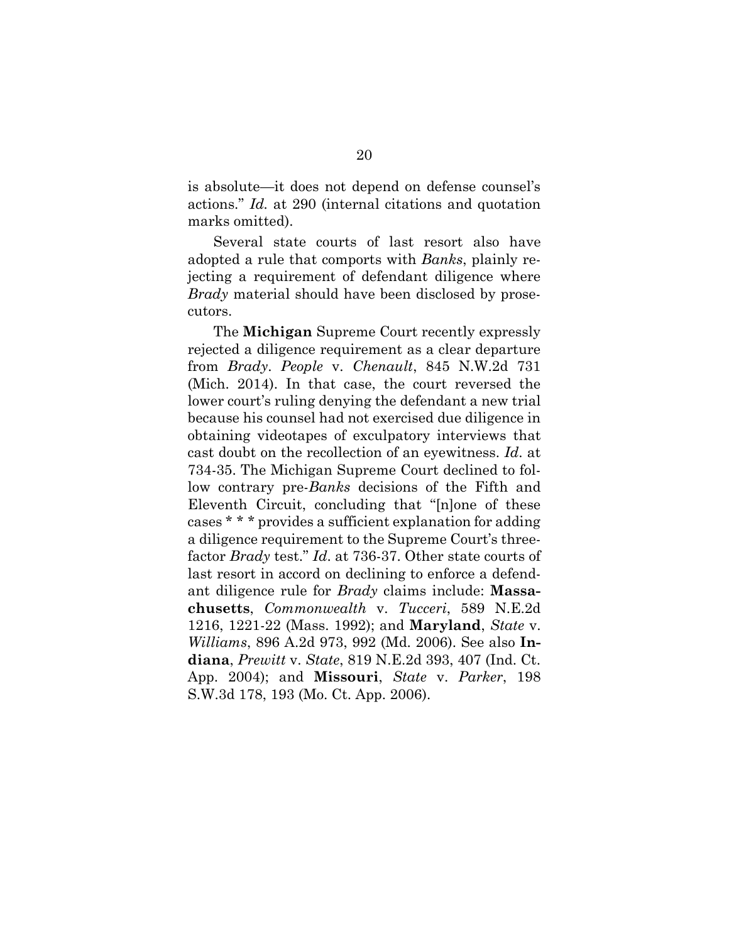<span id="page-36-1"></span>is absolute—it does not depend on defense counsel's actions." *Id.* at 290 (internal citations and quotation marks omitted).

Several state courts of last resort also have adopted a rule that comports with *Banks*, plainly rejecting a requirement of defendant diligence where *Brady* material should have been disclosed by prosecutors.

<span id="page-36-5"></span><span id="page-36-4"></span><span id="page-36-3"></span><span id="page-36-2"></span><span id="page-36-0"></span>The **Michigan** Supreme Court recently expressly rejected a diligence requirement as a clear departure from *Brady*. *People* v. *Chenault*, 845 N.W.2d 731 (Mich. 2014). In that case, the court reversed the lower court's ruling denying the defendant a new trial because his counsel had not exercised due diligence in obtaining videotapes of exculpatory interviews that cast doubt on the recollection of an eyewitness. *Id*. at 734-35. The Michigan Supreme Court declined to follow contrary pre-*Banks* decisions of the Fifth and Eleventh Circuit, concluding that "[n]one of these cases \* \* \* provides a sufficient explanation for adding a diligence requirement to the Supreme Court's threefactor *Brady* test." *Id*. at 736-37. Other state courts of last resort in accord on declining to enforce a defendant diligence rule for *Brady* claims include: **Massachusetts**, *Commonwealth* v. *Tucceri*, 589 N.E.2d 1216, 1221-22 (Mass. 1992); and **Maryland**, *State* v. *Williams*, 896 A.2d 973, 992 (Md. 2006). See also **Indiana**, *Prewitt* v. *State*, 819 N.E.2d 393, 407 (Ind. Ct. App. 2004); and **Missouri**, *State* v. *Parker*, 198 S.W.3d 178, 193 (Mo. Ct. App. 2006).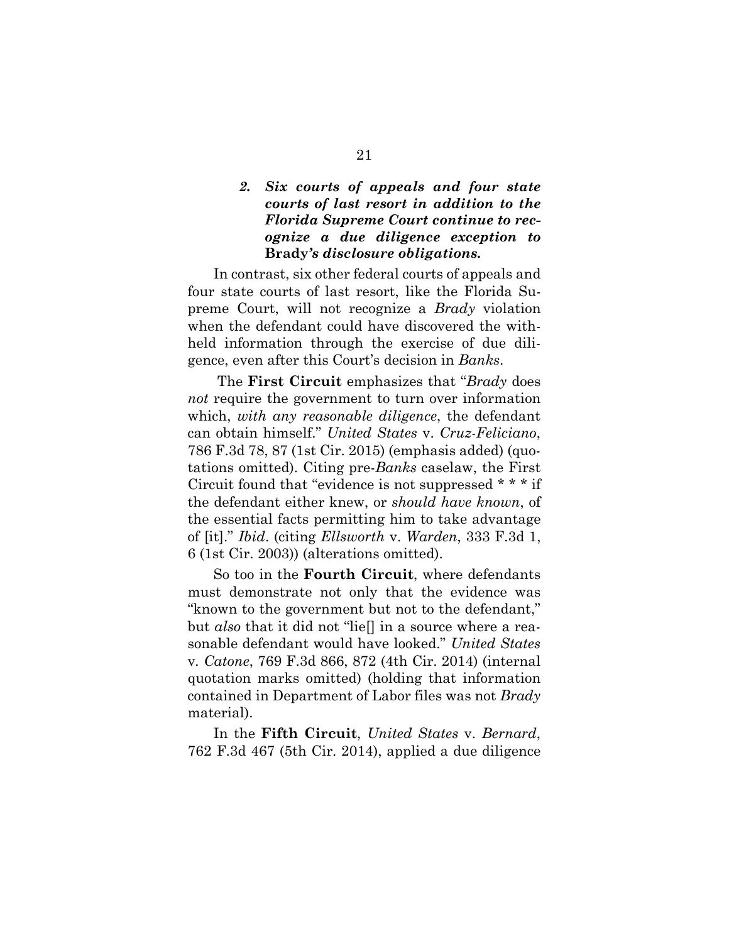## *2. Six courts of appeals and four state courts of last resort in addition to the Florida Supreme Court continue to recognize a due diligence exception to*  **Brady***'s disclosure obligations.*

In contrast, six other federal courts of appeals and four state courts of last resort, like the Florida Supreme Court, will not recognize a *Brady* violation when the defendant could have discovered the withheld information through the exercise of due diligence, even after this Court's decision in *Banks*.

<span id="page-37-3"></span> The **First Circuit** emphasizes that "*Brady* does *not* require the government to turn over information which, *with any reasonable diligence*, the defendant can obtain himself." *United States* v. *Cruz-Feliciano*, 786 F.3d 78, 87 (1st Cir. 2015) (emphasis added) (quotations omitted). Citing pre-*Banks* caselaw, the First Circuit found that "evidence is not suppressed \* \* \* if the defendant either knew, or *should have known*, of the essential facts permitting him to take advantage of [it]." *Ibid*. (citing *Ellsworth* v. *Warden*, 333 F.3d 1, 6 (1st Cir. 2003)) (alterations omitted).

<span id="page-37-2"></span><span id="page-37-0"></span>So too in the **Fourth Circuit**, where defendants must demonstrate not only that the evidence was "known to the government but not to the defendant," but *also* that it did not "lie[] in a source where a reasonable defendant would have looked." *United States*  v*. Catone*, 769 F.3d 866, 872 (4th Cir. 2014) (internal quotation marks omitted) (holding that information contained in Department of Labor files was not *Brady*  material).

<span id="page-37-1"></span>In the **Fifth Circuit**, *United States* v. *Bernard*, 762 F.3d 467 (5th Cir. 2014), applied a due diligence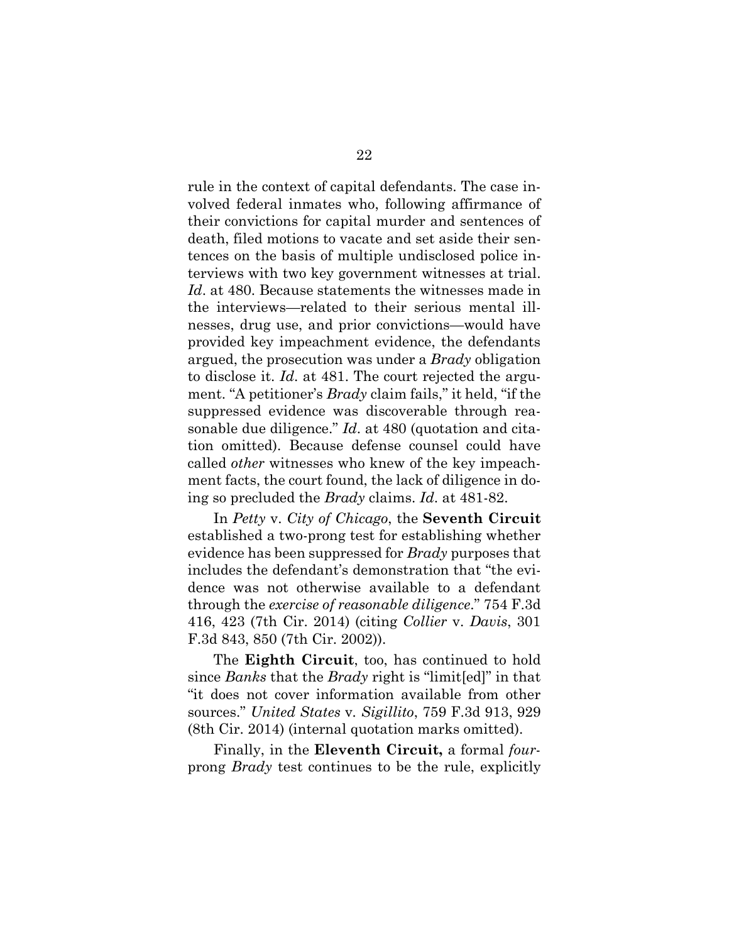<span id="page-38-2"></span>rule in the context of capital defendants. The case involved federal inmates who, following affirmance of their convictions for capital murder and sentences of death, filed motions to vacate and set aside their sentences on the basis of multiple undisclosed police interviews with two key government witnesses at trial. *Id*. at 480. Because statements the witnesses made in the interviews—related to their serious mental illnesses, drug use, and prior convictions—would have provided key impeachment evidence, the defendants argued, the prosecution was under a *Brady* obligation to disclose it. *Id*. at 481. The court rejected the argument. "A petitioner's *Brady* claim fails," it held, "if the suppressed evidence was discoverable through reasonable due diligence." *Id*. at 480 (quotation and citation omitted). Because defense counsel could have called *other* witnesses who knew of the key impeachment facts, the court found, the lack of diligence in doing so precluded the *Brady* claims. *Id*. at 481-82.

<span id="page-38-1"></span>In *Petty* v. *City of Chicago*, the **Seventh Circuit**  established a two-prong test for establishing whether evidence has been suppressed for *Brady* purposes that includes the defendant's demonstration that "the evidence was not otherwise available to a defendant through the *exercise of reasonable diligence*." 754 F.3d 416, 423 (7th Cir. 2014) (citing *Collier* v. *Davis*, 301 F.3d 843, 850 (7th Cir. 2002)).

<span id="page-38-0"></span>The **Eighth Circuit**, too, has continued to hold since *Banks* that the *Brady* right is "limit[ed]" in that "it does not cover information available from other sources." *United States* v*. Sigillito*, 759 F.3d 913, 929 (8th Cir. 2014) (internal quotation marks omitted).

<span id="page-38-3"></span>Finally, in the **Eleventh Circuit,** a formal *four*prong *Brady* test continues to be the rule, explicitly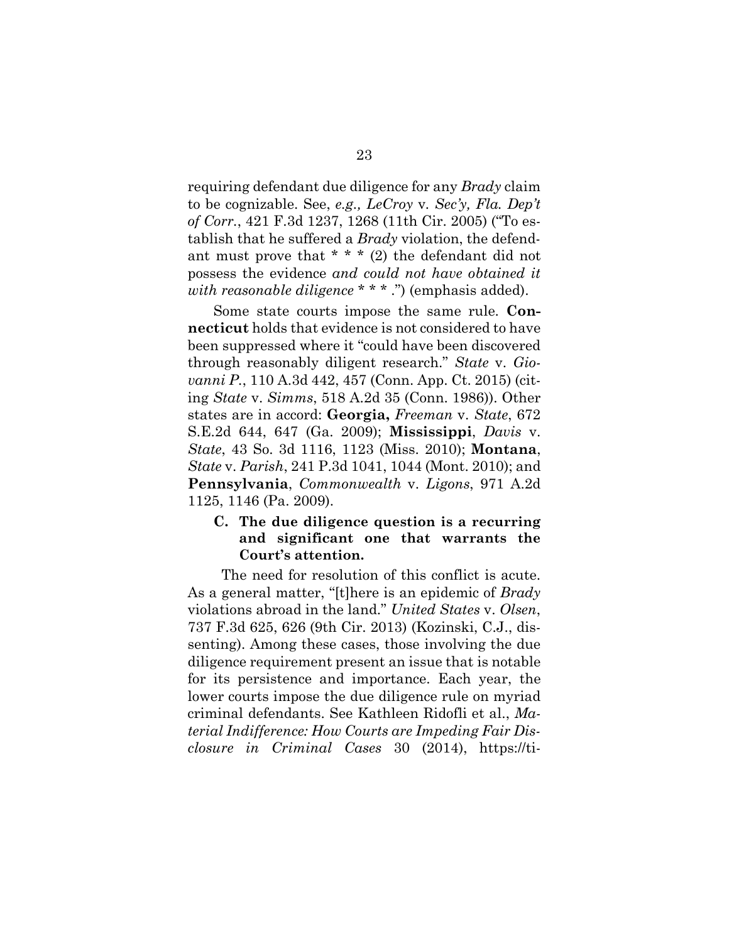<span id="page-39-3"></span>requiring defendant due diligence for any *Brady* claim to be cognizable. See, *e.g., LeCroy* v*. Sec'y, Fla. Dep't of Corr.*, 421 F.3d 1237, 1268 (11th Cir. 2005) ("To establish that he suffered a *Brady* violation, the defendant must prove that  $* * * (2)$  the defendant did not possess the evidence *and could not have obtained it with reasonable diligence* \* \* \* .") (emphasis added).

<span id="page-39-6"></span><span id="page-39-4"></span>Some state courts impose the same rule. **Connecticut** holds that evidence is not considered to have been suppressed where it "could have been discovered through reasonably diligent research." *State* v. *Giovanni P.*, 110 A.3d 442, 457 (Conn. App. Ct. 2015) (citing *State* v. *Simms*, 518 A.2d 35 (Conn. 1986)). Other states are in accord: **Georgia,** *Freeman* v. *State*, 672 S.E.2d 644, 647 (Ga. 2009); **Mississippi**, *Davis* v. *State*, 43 So. 3d 1116, 1123 (Miss. 2010); **Montana**, *State* v. *Parish*, 241 P.3d 1041, 1044 (Mont. 2010); and **Pennsylvania**, *Commonwealth* v. *Ligons*, 971 A.2d 1125, 1146 (Pa. 2009).

## <span id="page-39-7"></span><span id="page-39-5"></span><span id="page-39-2"></span><span id="page-39-1"></span><span id="page-39-0"></span>**C. The due diligence question is a recurring and significant one that warrants the Court's attention.**

<span id="page-39-8"></span> The need for resolution of this conflict is acute. As a general matter, "[t]here is an epidemic of *Brady*  violations abroad in the land." *United States* v. *Olsen*, 737 F.3d 625, 626 (9th Cir. 2013) (Kozinski, C.J., dissenting). Among these cases, those involving the due diligence requirement present an issue that is notable for its persistence and importance. Each year, the lower courts impose the due diligence rule on myriad criminal defendants. See Kathleen Ridofli et al., *Material Indifference: How Courts are Impeding Fair Disclosure in Criminal Cases* 30 (2014), https://ti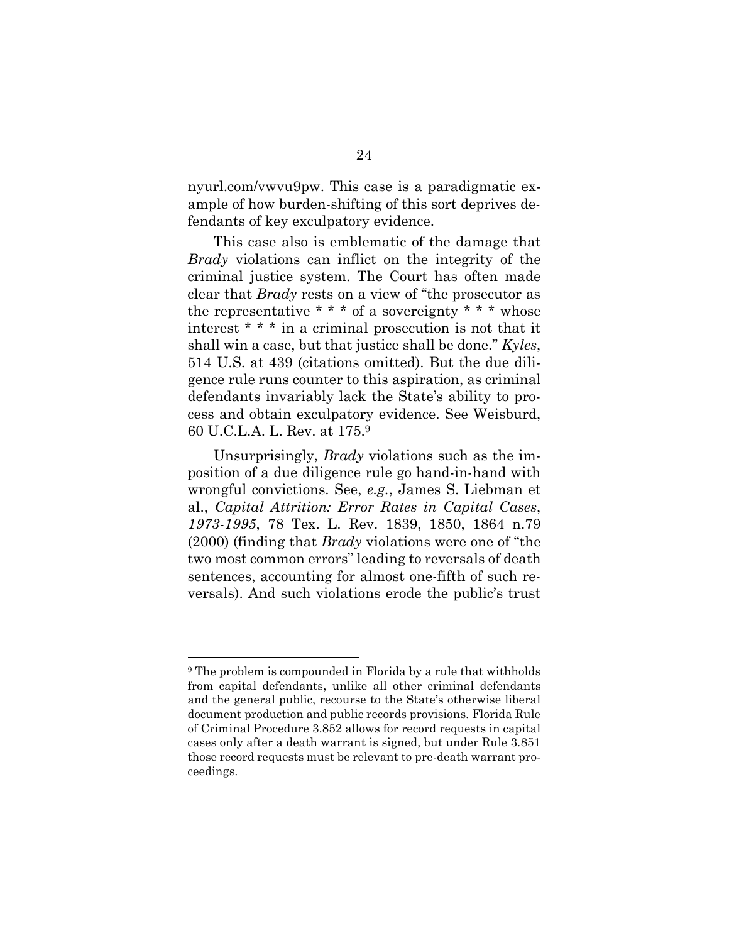nyurl.com/vwvu9pw. This case is a paradigmatic example of how burden-shifting of this sort deprives defendants of key exculpatory evidence.

<span id="page-40-0"></span>This case also is emblematic of the damage that *Brady* violations can inflict on the integrity of the criminal justice system. The Court has often made clear that *Brady* rests on a view of "the prosecutor as the representative  $* * *$  of a sovereignty  $* * *$  whose interest \* \* \* in a criminal prosecution is not that it shall win a case, but that justice shall be done." *Kyles*, 514 U.S. at 439 (citations omitted). But the due diligence rule runs counter to this aspiration, as criminal defendants invariably lack the State's ability to process and obtain exculpatory evidence. See Weisburd, 60 U.C.L.A. L. Rev. at 175.<sup>9</sup>

<span id="page-40-3"></span>Unsurprisingly, *Brady* violations such as the imposition of a due diligence rule go hand-in-hand with wrongful convictions. See, *e.g.*, James S. Liebman et al., *Capital Attrition: Error Rates in Capital Cases*, *1973-1995*, 78 Tex. L. Rev. 1839, 1850, 1864 n.79 (2000) (finding that *Brady* violations were one of "the two most common errors" leading to reversals of death sentences, accounting for almost one-fifth of such reversals). And such violations erode the public's trust

<span id="page-40-2"></span><span id="page-40-1"></span><sup>9</sup> The problem is compounded in Florida by a rule that withholds from capital defendants, unlike all other criminal defendants and the general public, recourse to the State's otherwise liberal document production and public records provisions. Florida Rule of Criminal Procedure 3.852 allows for record requests in capital cases only after a death warrant is signed, but under Rule 3.851 those record requests must be relevant to pre-death warrant proceedings.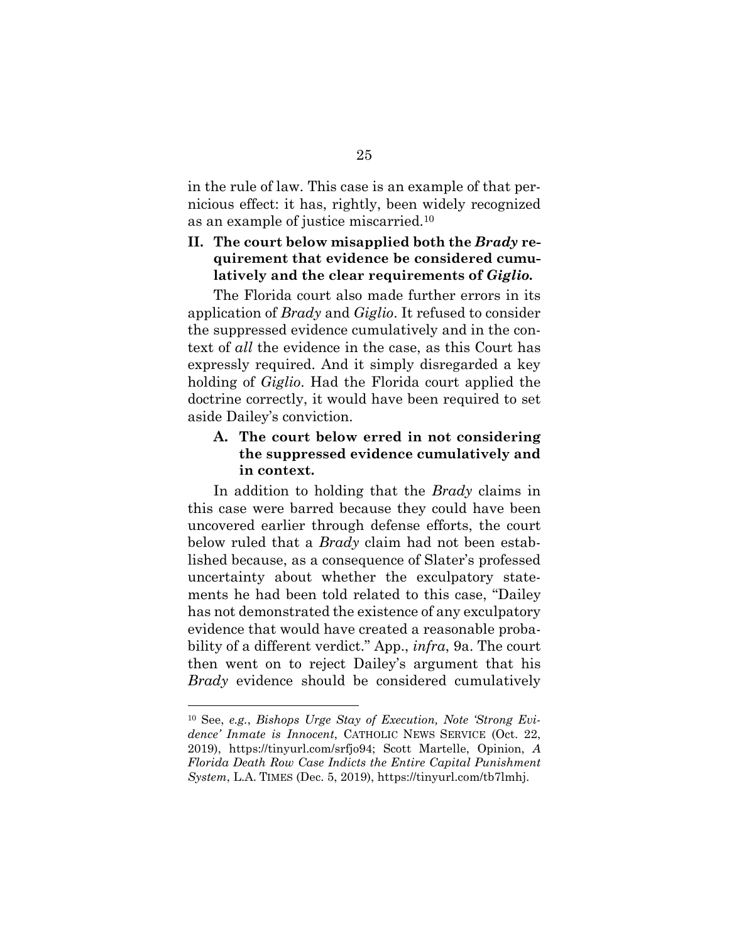in the rule of law. This case is an example of that pernicious effect: it has, rightly, been widely recognized as an example of justice miscarried.<sup>10</sup>

## **II. The court below misapplied both the** *Brady* **requirement that evidence be considered cumulatively and the clear requirements of** *Giglio.*

The Florida court also made further errors in its application of *Brady* and *Giglio*. It refused to consider the suppressed evidence cumulatively and in the context of *all* the evidence in the case, as this Court has expressly required. And it simply disregarded a key holding of *Giglio*. Had the Florida court applied the doctrine correctly, it would have been required to set aside Dailey's conviction.

## **A. The court below erred in not considering the suppressed evidence cumulatively and in context.**

In addition to holding that the *Brady* claims in this case were barred because they could have been uncovered earlier through defense efforts, the court below ruled that a *Brady* claim had not been established because, as a consequence of Slater's professed uncertainty about whether the exculpatory statements he had been told related to this case, "Dailey has not demonstrated the existence of any exculpatory evidence that would have created a reasonable probability of a different verdict." App., *infra*, 9a. The court then went on to reject Dailey's argument that his *Brady* evidence should be considered cumulatively

<span id="page-41-1"></span><span id="page-41-0"></span><sup>10</sup> See, *e.g.*, *Bishops Urge Stay of Execution, Note 'Strong Evidence' Inmate is Innocent*, CATHOLIC NEWS SERVICE (Oct. 22, 2019), https://tinyurl.com/srfjo94; Scott Martelle, Opinion, *A Florida Death Row Case Indicts the Entire Capital Punishment System*, L.A. TIMES (Dec. 5, 2019), https://tinyurl.com/tb7lmhj.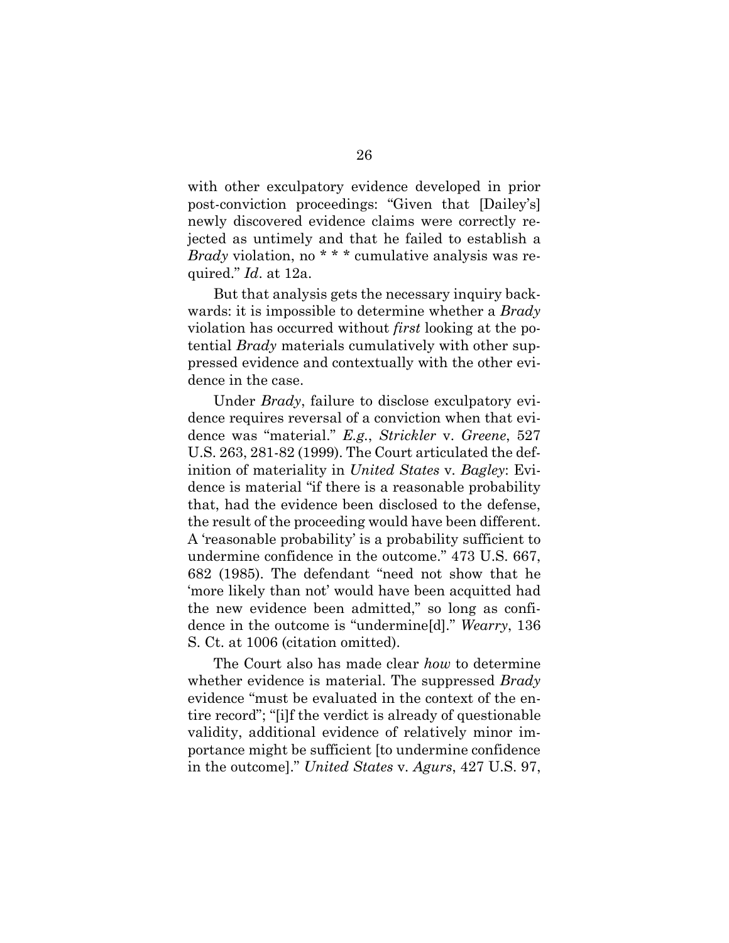with other exculpatory evidence developed in prior post-conviction proceedings: "Given that [Dailey's] newly discovered evidence claims were correctly rejected as untimely and that he failed to establish a *Brady* violation, no \* \* \* cumulative analysis was required." *Id*. at 12a.

But that analysis gets the necessary inquiry backwards: it is impossible to determine whether a *Brady* violation has occurred without *first* looking at the potential *Brady* materials cumulatively with other suppressed evidence and contextually with the other evidence in the case.

<span id="page-42-2"></span><span id="page-42-0"></span>Under *Brady*, failure to disclose exculpatory evidence requires reversal of a conviction when that evidence was "material." *E.g.*, *Strickler* v. *Greene*, 527 U.S. 263, 281-82 (1999). The Court articulated the definition of materiality in *United States* v*. Bagley*: Evidence is material "if there is a reasonable probability that, had the evidence been disclosed to the defense, the result of the proceeding would have been different. A 'reasonable probability' is a probability sufficient to undermine confidence in the outcome." 473 U.S. 667, 682 (1985). The defendant "need not show that he 'more likely than not' would have been acquitted had the new evidence been admitted," so long as confidence in the outcome is "undermine[d]." *Wearry*, 136 S. Ct. at 1006 (citation omitted).

<span id="page-42-1"></span>The Court also has made clear *how* to determine whether evidence is material. The suppressed *Brady* evidence "must be evaluated in the context of the entire record"; "[i]f the verdict is already of questionable validity, additional evidence of relatively minor importance might be sufficient [to undermine confidence in the outcome]." *United States* v*. Agurs*, 427 U.S. 97,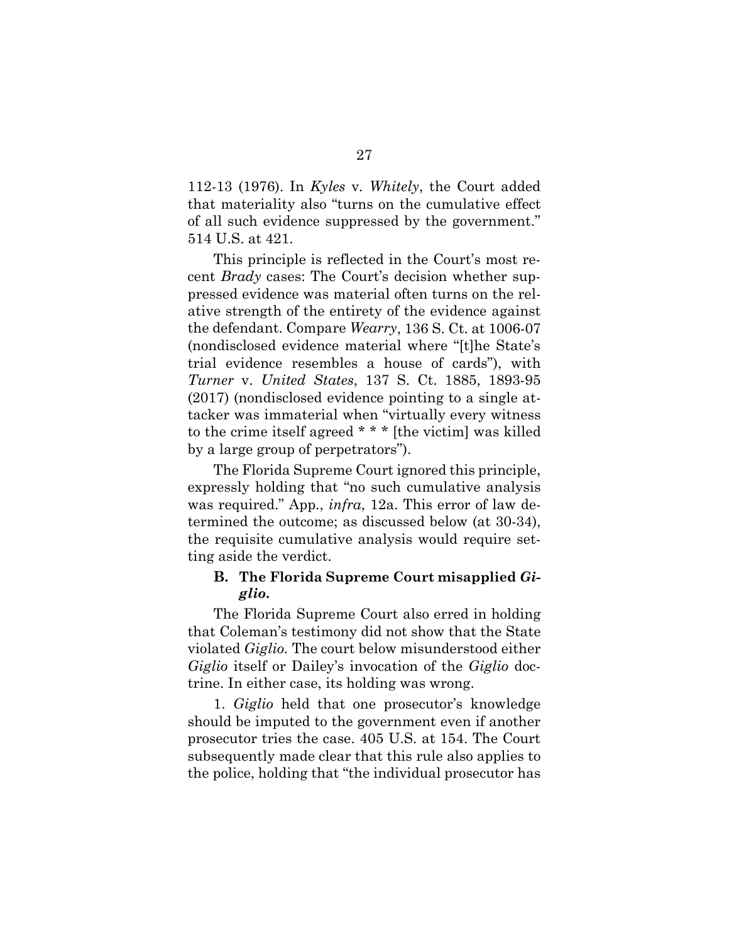<span id="page-43-0"></span>112-13 (1976). In *Kyles* v*. Whitely*, the Court added that materiality also "turns on the cumulative effect of all such evidence suppressed by the government." 514 U.S. at 421.

This principle is reflected in the Court's most recent *Brady* cases: The Court's decision whether suppressed evidence was material often turns on the relative strength of the entirety of the evidence against the defendant. Compare *Wearry*, 136 S. Ct. at 1006-07 (nondisclosed evidence material where "[t]he State's trial evidence resembles a house of cards"), with *Turner* v. *United States*, 137 S. Ct. 1885, 1893-95 (2017) (nondisclosed evidence pointing to a single attacker was immaterial when "virtually every witness to the crime itself agreed \* \* \* [the victim] was killed by a large group of perpetrators").

<span id="page-43-1"></span>The Florida Supreme Court ignored this principle, expressly holding that "no such cumulative analysis was required." App., *infra*, 12a. This error of law determined the outcome; as discussed below (at 30-34), the requisite cumulative analysis would require setting aside the verdict.

## **B. The Florida Supreme Court misapplied** *Giglio***.**

The Florida Supreme Court also erred in holding that Coleman's testimony did not show that the State violated *Giglio.* The court below misunderstood either *Giglio* itself or Dailey's invocation of the *Giglio* doctrine. In either case, its holding was wrong.

1. *Giglio* held that one prosecutor's knowledge should be imputed to the government even if another prosecutor tries the case. 405 U.S. at 154. The Court subsequently made clear that this rule also applies to the police, holding that "the individual prosecutor has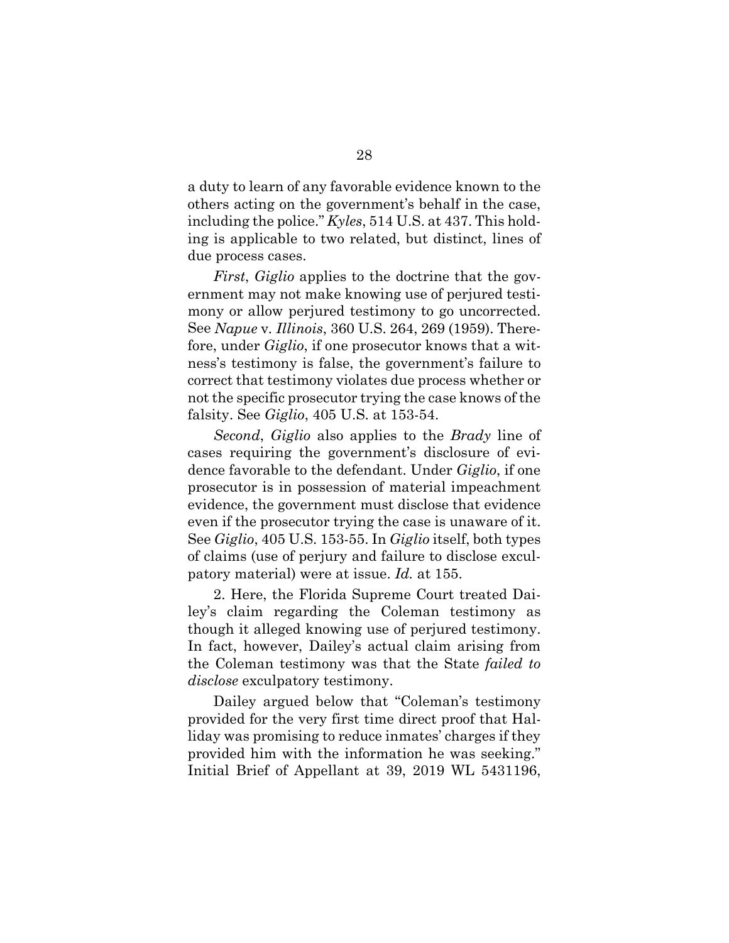<span id="page-44-0"></span>a duty to learn of any favorable evidence known to the others acting on the government's behalf in the case, including the police." *Kyles*, 514 U.S. at 437. This holding is applicable to two related, but distinct, lines of due process cases.

<span id="page-44-1"></span>*First*, *Giglio* applies to the doctrine that the government may not make knowing use of perjured testimony or allow perjured testimony to go uncorrected. See *Napue* v*. Illinois*, 360 U.S. 264, 269 (1959). Therefore, under *Giglio*, if one prosecutor knows that a witness's testimony is false, the government's failure to correct that testimony violates due process whether or not the specific prosecutor trying the case knows of the falsity. See *Giglio*, 405 U.S. at 153-54.

*Second*, *Giglio* also applies to the *Brady* line of cases requiring the government's disclosure of evidence favorable to the defendant. Under *Giglio*, if one prosecutor is in possession of material impeachment evidence, the government must disclose that evidence even if the prosecutor trying the case is unaware of it. See *Giglio*, 405 U.S. 153-55. In *Giglio* itself, both types of claims (use of perjury and failure to disclose exculpatory material) were at issue. *Id.* at 155.

2. Here, the Florida Supreme Court treated Dailey's claim regarding the Coleman testimony as though it alleged knowing use of perjured testimony. In fact, however, Dailey's actual claim arising from the Coleman testimony was that the State *failed to disclose* exculpatory testimony.

Dailey argued below that "Coleman's testimony provided for the very first time direct proof that Halliday was promising to reduce inmates' charges if they provided him with the information he was seeking." Initial Brief of Appellant at 39, 2019 WL 5431196,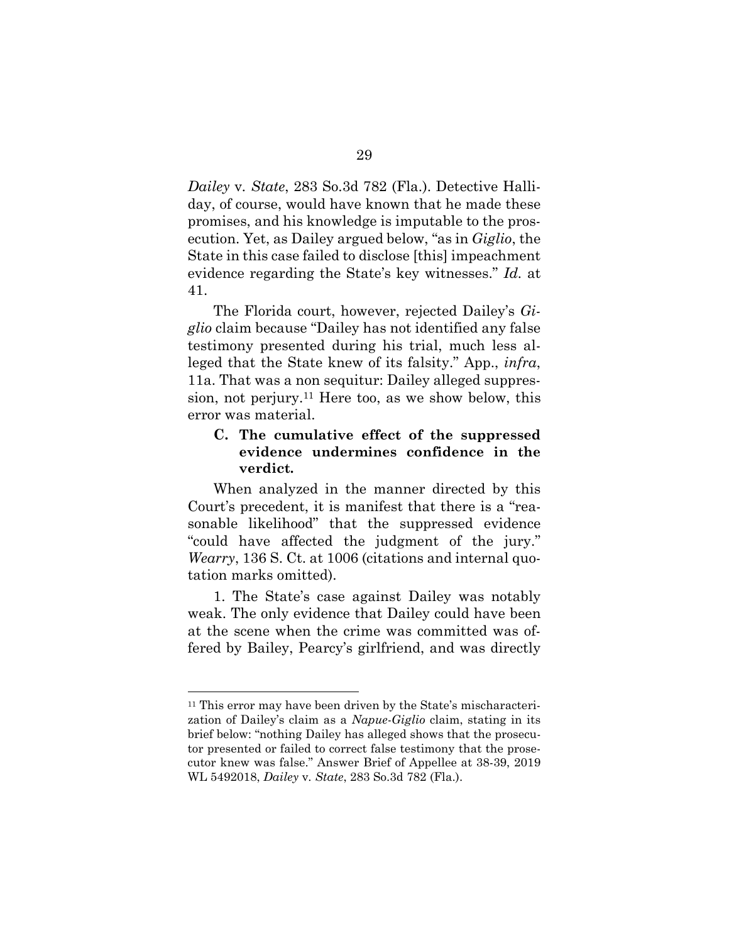<span id="page-45-0"></span>*Dailey* v*. State*, 283 So.3d 782 (Fla.). Detective Halliday, of course, would have known that he made these promises, and his knowledge is imputable to the prosecution. Yet, as Dailey argued below, "as in *Giglio*, the State in this case failed to disclose [this] impeachment evidence regarding the State's key witnesses." *Id.* at 41.

The Florida court, however, rejected Dailey's *Giglio* claim because "Dailey has not identified any false testimony presented during his trial, much less alleged that the State knew of its falsity." App., *infra*, 11a. That was a non sequitur: Dailey alleged suppression, not perjury.11 Here too, as we show below, this error was material.

## **C. The cumulative effect of the suppressed evidence undermines confidence in the verdict.**

When analyzed in the manner directed by this Court's precedent, it is manifest that there is a "reasonable likelihood" that the suppressed evidence "could have affected the judgment of the jury." *Wearry*, 136 S. Ct. at 1006 (citations and internal quotation marks omitted).

1. The State's case against Dailey was notably weak. The only evidence that Dailey could have been at the scene when the crime was committed was offered by Bailey, Pearcy's girlfriend, and was directly

<sup>11</sup> This error may have been driven by the State's mischaracterization of Dailey's claim as a *Napue*-*Giglio* claim, stating in its brief below: "nothing Dailey has alleged shows that the prosecutor presented or failed to correct false testimony that the prosecutor knew was false." Answer Brief of Appellee at 38-39, 2019 WL 5492018, *Dailey* v*. State*, 283 So.3d 782 (Fla.).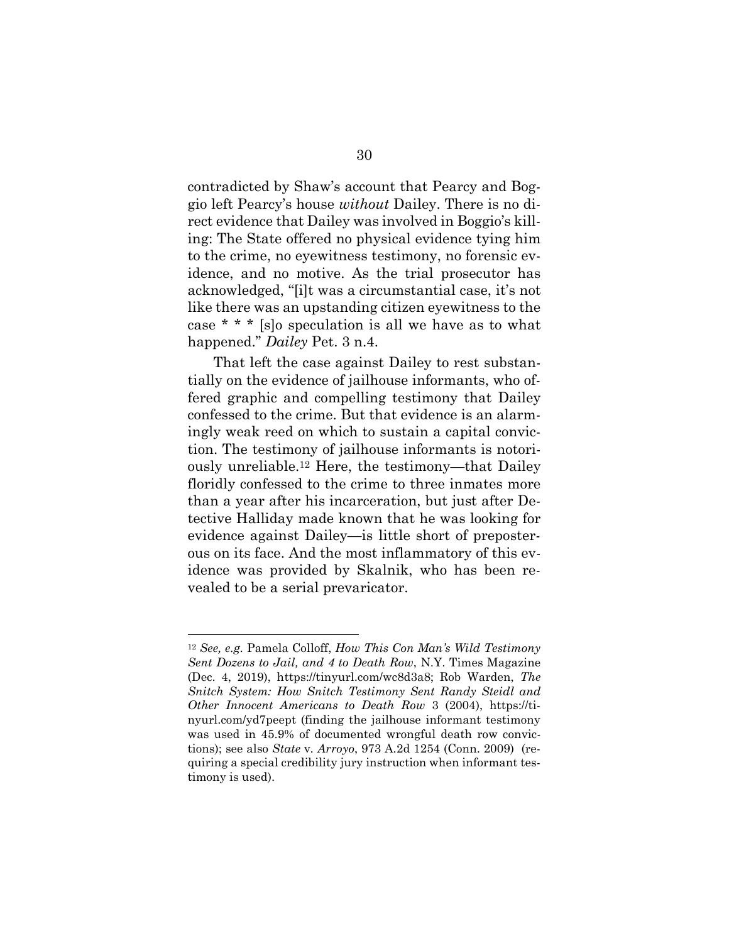contradicted by Shaw's account that Pearcy and Boggio left Pearcy's house *without* Dailey. There is no direct evidence that Dailey was involved in Boggio's killing: The State offered no physical evidence tying him to the crime, no eyewitness testimony, no forensic evidence, and no motive. As the trial prosecutor has acknowledged, "[i]t was a circumstantial case, it's not like there was an upstanding citizen eyewitness to the case \* \* \* [s]o speculation is all we have as to what happened." *Dailey* Pet. 3 n.4.

That left the case against Dailey to rest substantially on the evidence of jailhouse informants, who offered graphic and compelling testimony that Dailey confessed to the crime. But that evidence is an alarmingly weak reed on which to sustain a capital conviction. The testimony of jailhouse informants is notoriously unreliable.12 Here, the testimony—that Dailey floridly confessed to the crime to three inmates more than a year after his incarceration, but just after Detective Halliday made known that he was looking for evidence against Dailey—is little short of preposterous on its face. And the most inflammatory of this evidence was provided by Skalnik, who has been revealed to be a serial prevaricator.

<span id="page-46-2"></span><span id="page-46-1"></span><span id="page-46-0"></span><sup>12</sup> *See, e.g.* Pamela Colloff, *How This Con Man's Wild Testimony Sent Dozens to Jail, and 4 to Death Row*, N.Y. Times Magazine (Dec. 4, 2019), https://tinyurl.com/wc8d3a8; Rob Warden, *The Snitch System: How Snitch Testimony Sent Randy Steidl and Other Innocent Americans to Death Row* 3 (2004), https://tinyurl.com/yd7peept (finding the jailhouse informant testimony was used in  $45.9\%$  of documented wrongful death row convictions); see also *State* v*. Arroyo*, 973 A.2d 1254 (Conn. 2009) (requiring a special credibility jury instruction when informant testimony is used).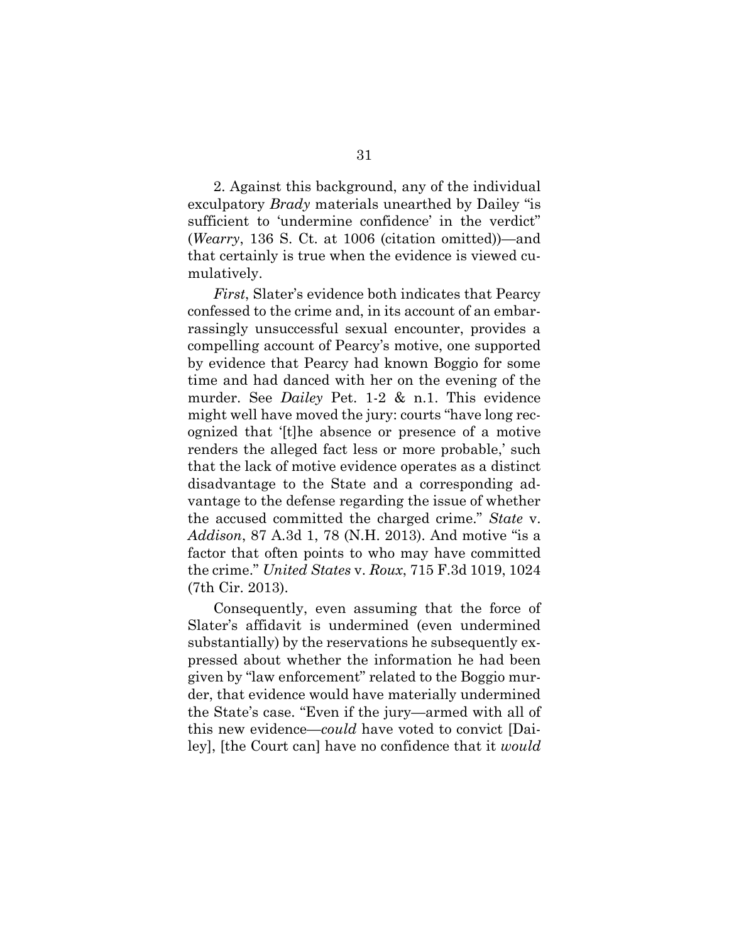2. Against this background, any of the individual exculpatory *Brady* materials unearthed by Dailey "is sufficient to 'undermine confidence' in the verdict" (*Wearry*, 136 S. Ct. at 1006 (citation omitted))—and that certainly is true when the evidence is viewed cumulatively.

*First*, Slater's evidence both indicates that Pearcy confessed to the crime and, in its account of an embarrassingly unsuccessful sexual encounter, provides a compelling account of Pearcy's motive, one supported by evidence that Pearcy had known Boggio for some time and had danced with her on the evening of the murder. See *Dailey* Pet. 1-2 & n.1. This evidence might well have moved the jury: courts "have long recognized that '[t]he absence or presence of a motive renders the alleged fact less or more probable,' such that the lack of motive evidence operates as a distinct disadvantage to the State and a corresponding advantage to the defense regarding the issue of whether the accused committed the charged crime." *State* v. *Addison*, 87 A.3d 1, 78 (N.H. 2013). And motive "is a factor that often points to who may have committed the crime." *United States* v. *Roux*, 715 F.3d 1019, 1024 (7th Cir. 2013).

<span id="page-47-1"></span><span id="page-47-0"></span>Consequently, even assuming that the force of Slater's affidavit is undermined (even undermined substantially) by the reservations he subsequently expressed about whether the information he had been given by "law enforcement" related to the Boggio murder, that evidence would have materially undermined the State's case. "Even if the jury—armed with all of this new evidence—*could* have voted to convict [Dailey], [the Court can] have no confidence that it *would*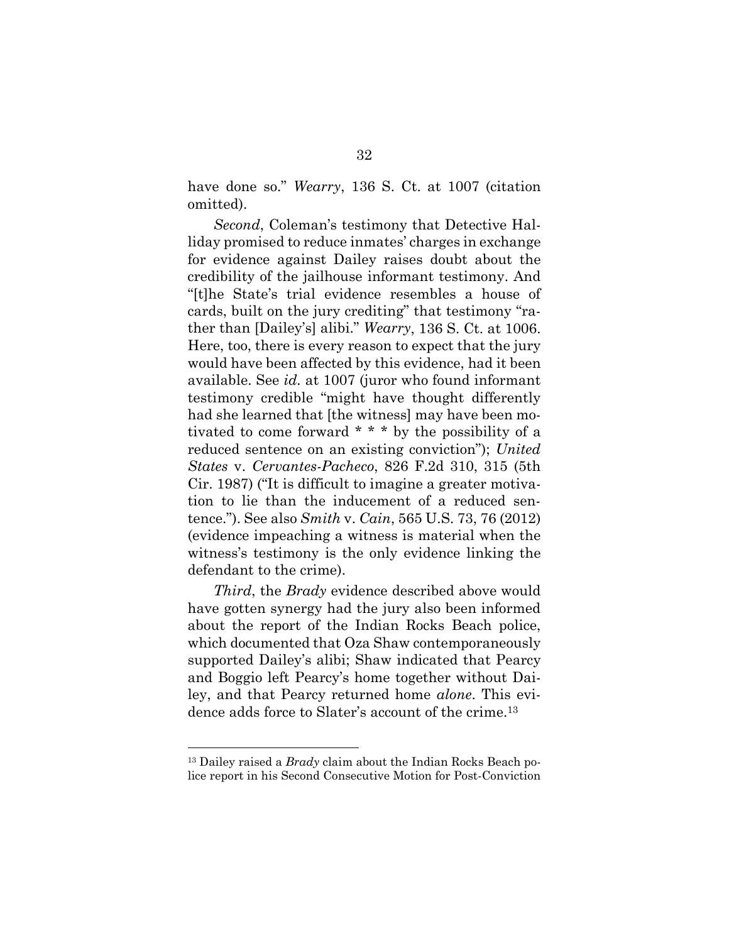have done so." *Wearry*, 136 S. Ct. at 1007 (citation omitted).

*Second*, Coleman's testimony that Detective Halliday promised to reduce inmates' charges in exchange for evidence against Dailey raises doubt about the credibility of the jailhouse informant testimony. And "[t]he State's trial evidence resembles a house of cards, built on the jury crediting" that testimony "rather than [Dailey's] alibi." *Wearry*, 136 S. Ct. at 1006. Here, too, there is every reason to expect that the jury would have been affected by this evidence, had it been available. See *id.* at 1007 (juror who found informant testimony credible "might have thought differently had she learned that [the witness] may have been motivated to come forward \* \* \* by the possibility of a reduced sentence on an existing conviction"); *United States* v. *Cervantes-Pacheco*, 826 F.2d 310, 315 (5th Cir. 1987) ("It is difficult to imagine a greater motivation to lie than the inducement of a reduced sentence."). See also *Smith* v. *Cain*, 565 U.S. 73, 76 (2012) (evidence impeaching a witness is material when the witness's testimony is the only evidence linking the defendant to the crime).

<span id="page-48-1"></span><span id="page-48-0"></span>*Third*, the *Brady* evidence described above would have gotten synergy had the jury also been informed about the report of the Indian Rocks Beach police, which documented that Oza Shaw contemporaneously supported Dailey's alibi; Shaw indicated that Pearcy and Boggio left Pearcy's home together without Dailey, and that Pearcy returned home *alone*. This evidence adds force to Slater's account of the crime.<sup>13</sup>

<sup>13</sup> Dailey raised a *Brady* claim about the Indian Rocks Beach police report in his Second Consecutive Motion for Post-Conviction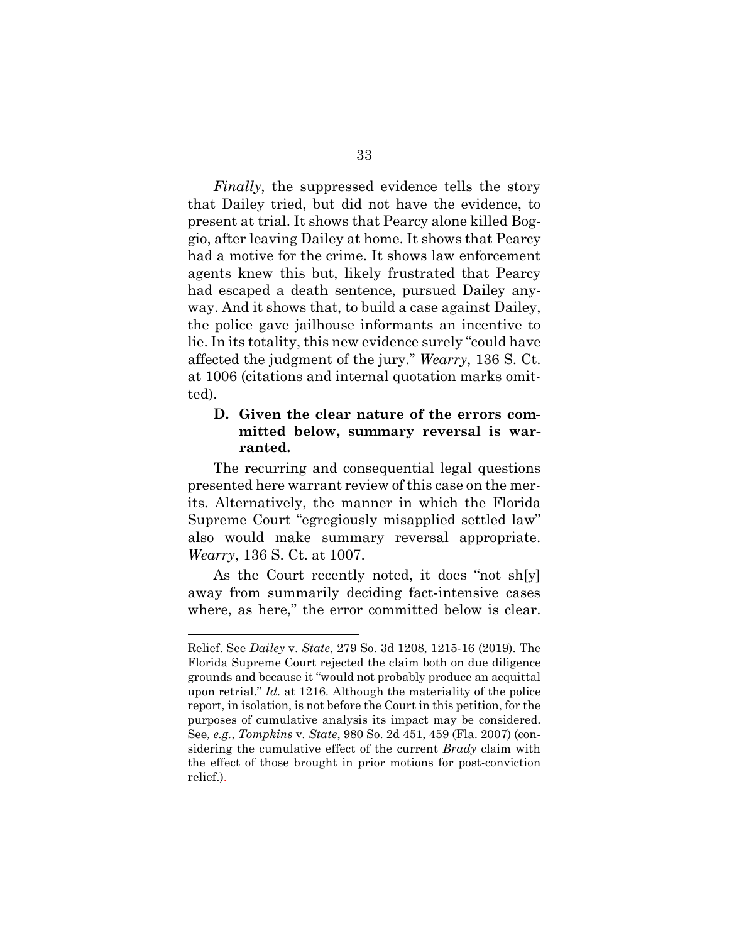*Finally*, the suppressed evidence tells the story that Dailey tried, but did not have the evidence, to present at trial. It shows that Pearcy alone killed Boggio, after leaving Dailey at home. It shows that Pearcy had a motive for the crime. It shows law enforcement agents knew this but, likely frustrated that Pearcy had escaped a death sentence, pursued Dailey anyway. And it shows that, to build a case against Dailey, the police gave jailhouse informants an incentive to lie. In its totality, this new evidence surely "could have affected the judgment of the jury." *Wearry*, 136 S. Ct. at 1006 (citations and internal quotation marks omitted).

## **D. Given the clear nature of the errors committed below, summary reversal is warranted.**

The recurring and consequential legal questions presented here warrant review of this case on the merits. Alternatively, the manner in which the Florida Supreme Court "egregiously misapplied settled law" also would make summary reversal appropriate. *Wearry*, 136 S. Ct. at 1007.

As the Court recently noted, it does "not sh[y] away from summarily deciding fact-intensive cases where, as here," the error committed below is clear.

<span id="page-49-1"></span><span id="page-49-0"></span>Relief. See *Dailey* v. *State*, 279 So. 3d 1208, 1215-16 (2019). The Florida Supreme Court rejected the claim both on due diligence grounds and because it "would not probably produce an acquittal upon retrial." *Id.* at 1216. Although the materiality of the police report, in isolation, is not before the Court in this petition, for the purposes of cumulative analysis its impact may be considered. See*, e.g.*, *Tompkins* v*. State*, 980 So. 2d 451, 459 (Fla. 2007) (considering the cumulative effect of the current *Brady* claim with the effect of those brought in prior motions for post-conviction relief.).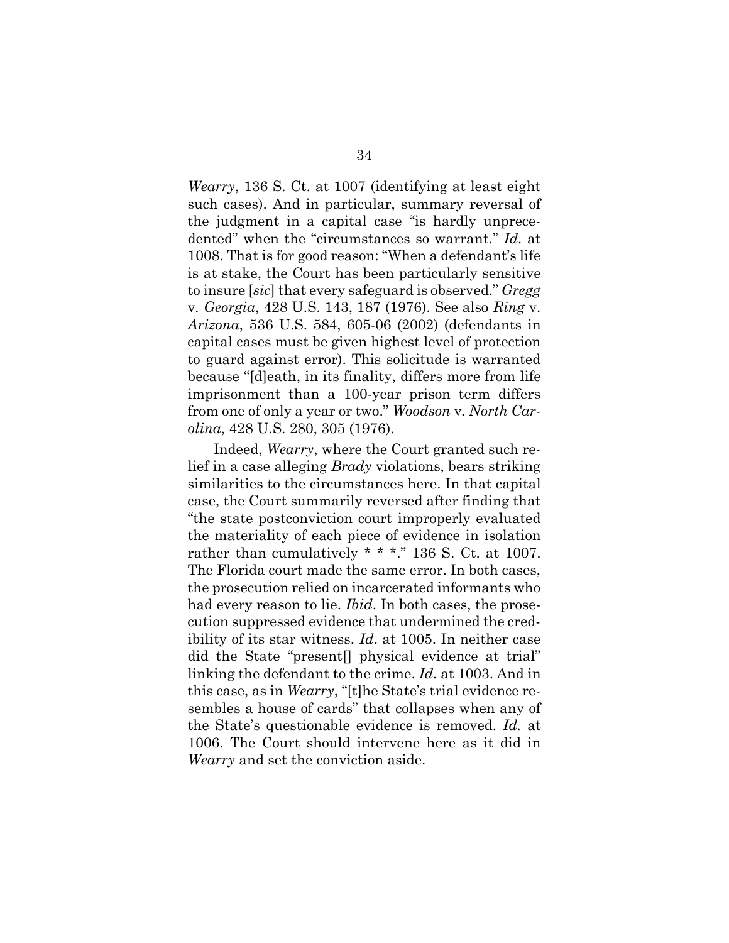<span id="page-50-1"></span><span id="page-50-0"></span>*Wearry*, 136 S. Ct. at 1007 (identifying at least eight such cases). And in particular, summary reversal of the judgment in a capital case "is hardly unprecedented" when the "circumstances so warrant." *Id.* at 1008. That is for good reason: "When a defendant's life is at stake, the Court has been particularly sensitive to insure [*sic*] that every safeguard is observed." *Gregg*  v*. Georgia*, 428 U.S. 143, 187 (1976). See also *Ring* v. *Arizona*, 536 U.S. 584, 605-06 (2002) (defendants in capital cases must be given highest level of protection to guard against error). This solicitude is warranted because "[d]eath, in its finality, differs more from life imprisonment than a 100-year prison term differs from one of only a year or two." *Woodson* v*. North Carolina*, 428 U.S. 280, 305 (1976).

<span id="page-50-2"></span>Indeed, *Wearry*, where the Court granted such relief in a case alleging *Brady* violations, bears striking similarities to the circumstances here. In that capital case, the Court summarily reversed after finding that "the state postconviction court improperly evaluated the materiality of each piece of evidence in isolation rather than cumulatively \* \* \*." 136 S. Ct. at 1007. The Florida court made the same error. In both cases, the prosecution relied on incarcerated informants who had every reason to lie. *Ibid*. In both cases, the prosecution suppressed evidence that undermined the credibility of its star witness. *Id*. at 1005. In neither case did the State "present[] physical evidence at trial" linking the defendant to the crime. *Id.* at 1003. And in this case, as in *Wearry*, "[t]he State's trial evidence resembles a house of cards" that collapses when any of the State's questionable evidence is removed. *Id.* at 1006. The Court should intervene here as it did in *Wearry* and set the conviction aside.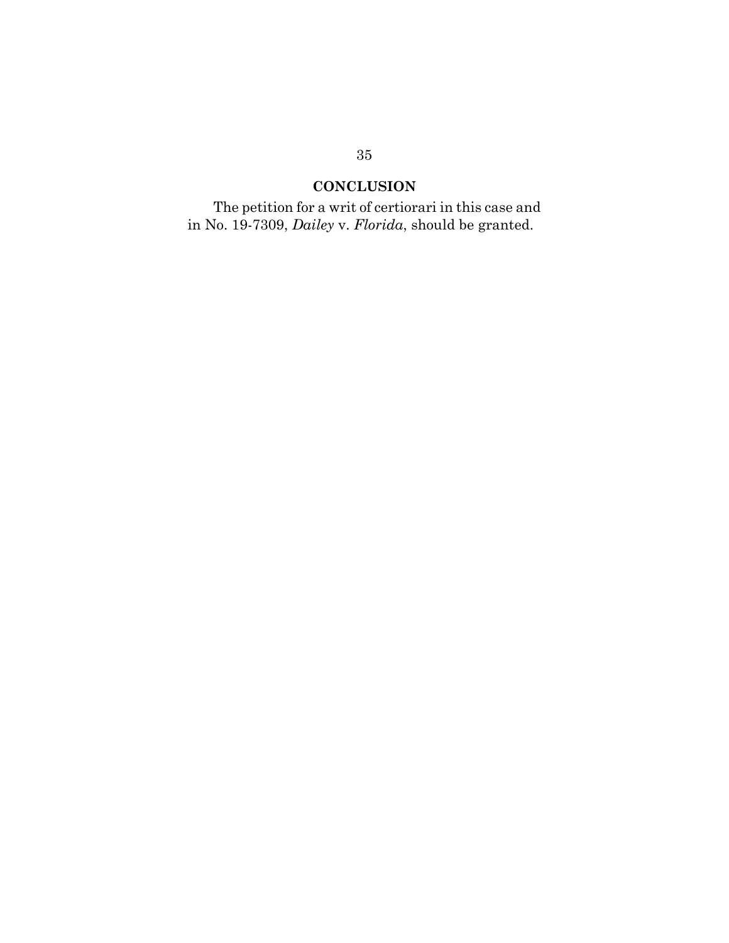## **CONCLUSION**

The petition for a writ of certiorari in this case and in No. 19-7309, *Dailey* v. *Florida*, should be granted.